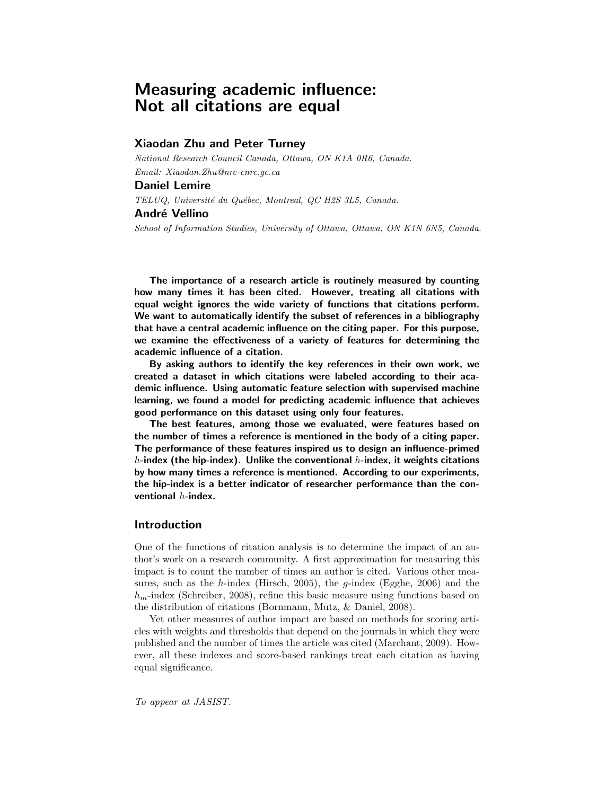# Measuring academic influence: Not all citations are equal

# Xiaodan Zhu and Peter Turney

National Research Council Canada, Ottawa, ON K1A 0R6, Canada. Email: Xiaodan.Zhu@nrc-cnrc.gc.ca

Daniel Lemire

TELUQ, Université du Québec, Montreal, QC H2S 3L5, Canada.

# André Vellino

School of Information Studies, University of Ottawa, Ottawa, ON K1N 6N5, Canada.

The importance of a research article is routinely measured by counting how many times it has been cited. However, treating all citations with equal weight ignores the wide variety of functions that citations perform. We want to automatically identify the subset of references in a bibliography that have a central academic influence on the citing paper. For this purpose, we examine the effectiveness of a variety of features for determining the academic influence of a citation.

By asking authors to identify the key references in their own work, we created a dataset in which citations were labeled according to their academic influence. Using automatic feature selection with supervised machine learning, we found a model for predicting academic influence that achieves good performance on this dataset using only four features.

The best features, among those we evaluated, were features based on the number of times a reference is mentioned in the body of a citing paper. The performance of these features inspired us to design an influence-primed  $h$ -index (the hip-index). Unlike the conventional  $h$ -index, it weights citations by how many times a reference is mentioned. According to our experiments, the hip-index is a better indicator of researcher performance than the conventional  $h$ -index.

### Introduction

One of the functions of citation analysis is to determine the impact of an author's work on a research community. A first approximation for measuring this impact is to count the number of times an author is cited. Various other measures, such as the h-index (Hirsch, 2005), the  $g$ -index (Egghe, 2006) and the  $h_m$ -index (Schreiber, 2008), refine this basic measure using functions based on the distribution of citations (Bornmann, Mutz, & Daniel, 2008).

Yet other measures of author impact are based on methods for scoring articles with weights and thresholds that depend on the journals in which they were published and the number of times the article was cited (Marchant, 2009). However, all these indexes and score-based rankings treat each citation as having equal significance.

To appear at JASIST.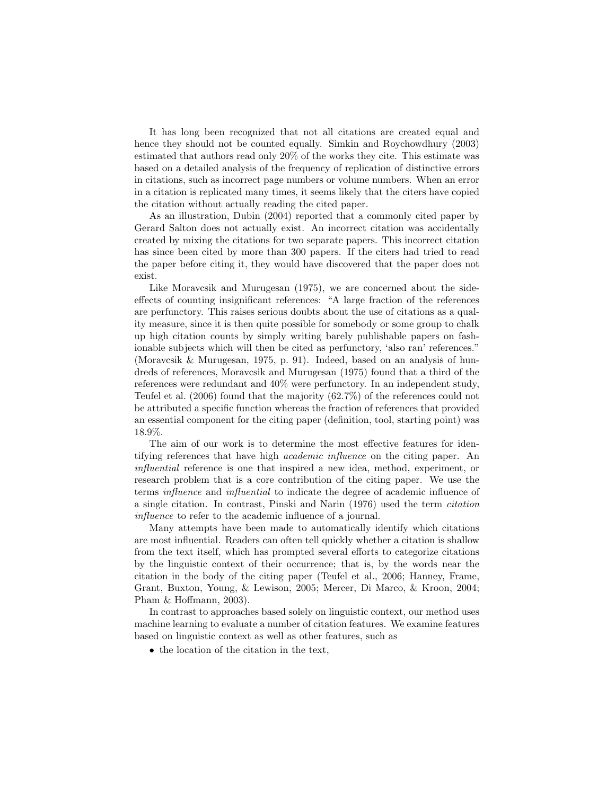It has long been recognized that not all citations are created equal and hence they should not be counted equally. Simkin and Roychowdhury (2003) estimated that authors read only 20% of the works they cite. This estimate was based on a detailed analysis of the frequency of replication of distinctive errors in citations, such as incorrect page numbers or volume numbers. When an error in a citation is replicated many times, it seems likely that the citers have copied the citation without actually reading the cited paper.

As an illustration, Dubin (2004) reported that a commonly cited paper by Gerard Salton does not actually exist. An incorrect citation was accidentally created by mixing the citations for two separate papers. This incorrect citation has since been cited by more than 300 papers. If the citers had tried to read the paper before citing it, they would have discovered that the paper does not exist.

Like Moravcsik and Murugesan (1975), we are concerned about the sideeffects of counting insignificant references: "A large fraction of the references are perfunctory. This raises serious doubts about the use of citations as a quality measure, since it is then quite possible for somebody or some group to chalk up high citation counts by simply writing barely publishable papers on fashionable subjects which will then be cited as perfunctory, 'also ran' references." (Moravcsik & Murugesan, 1975, p. 91). Indeed, based on an analysis of hundreds of references, Moravcsik and Murugesan (1975) found that a third of the references were redundant and 40% were perfunctory. In an independent study, Teufel et al. (2006) found that the majority (62.7%) of the references could not be attributed a specific function whereas the fraction of references that provided an essential component for the citing paper (definition, tool, starting point) was 18.9%.

The aim of our work is to determine the most effective features for identifying references that have high academic influence on the citing paper. An influential reference is one that inspired a new idea, method, experiment, or research problem that is a core contribution of the citing paper. We use the terms influence and influential to indicate the degree of academic influence of a single citation. In contrast, Pinski and Narin (1976) used the term citation influence to refer to the academic influence of a journal.

Many attempts have been made to automatically identify which citations are most influential. Readers can often tell quickly whether a citation is shallow from the text itself, which has prompted several efforts to categorize citations by the linguistic context of their occurrence; that is, by the words near the citation in the body of the citing paper (Teufel et al., 2006; Hanney, Frame, Grant, Buxton, Young, & Lewison, 2005; Mercer, Di Marco, & Kroon, 2004; Pham & Hoffmann, 2003).

In contrast to approaches based solely on linguistic context, our method uses machine learning to evaluate a number of citation features. We examine features based on linguistic context as well as other features, such as

• the location of the citation in the text,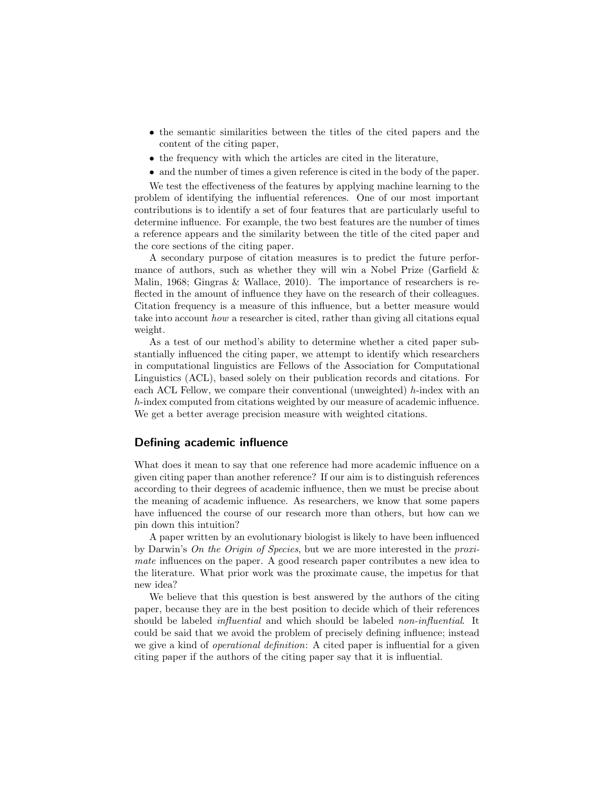- the semantic similarities between the titles of the cited papers and the content of the citing paper,
- the frequency with which the articles are cited in the literature,
- and the number of times a given reference is cited in the body of the paper.

We test the effectiveness of the features by applying machine learning to the problem of identifying the influential references. One of our most important contributions is to identify a set of four features that are particularly useful to determine influence. For example, the two best features are the number of times a reference appears and the similarity between the title of the cited paper and the core sections of the citing paper.

A secondary purpose of citation measures is to predict the future performance of authors, such as whether they will win a Nobel Prize (Garfield  $\&$ Malin, 1968; Gingras & Wallace, 2010). The importance of researchers is reflected in the amount of influence they have on the research of their colleagues. Citation frequency is a measure of this influence, but a better measure would take into account how a researcher is cited, rather than giving all citations equal weight.

As a test of our method's ability to determine whether a cited paper substantially influenced the citing paper, we attempt to identify which researchers in computational linguistics are Fellows of the Association for Computational Linguistics (ACL), based solely on their publication records and citations. For each ACL Fellow, we compare their conventional (unweighted) h-index with an h-index computed from citations weighted by our measure of academic influence. We get a better average precision measure with weighted citations.

# Defining academic influence

What does it mean to say that one reference had more academic influence on a given citing paper than another reference? If our aim is to distinguish references according to their degrees of academic influence, then we must be precise about the meaning of academic influence. As researchers, we know that some papers have influenced the course of our research more than others, but how can we pin down this intuition?

A paper written by an evolutionary biologist is likely to have been influenced by Darwin's On the Origin of Species, but we are more interested in the proximate influences on the paper. A good research paper contributes a new idea to the literature. What prior work was the proximate cause, the impetus for that new idea?

We believe that this question is best answered by the authors of the citing paper, because they are in the best position to decide which of their references should be labeled *influential* and which should be labeled *non-influential*. It could be said that we avoid the problem of precisely defining influence; instead we give a kind of operational definition: A cited paper is influential for a given citing paper if the authors of the citing paper say that it is influential.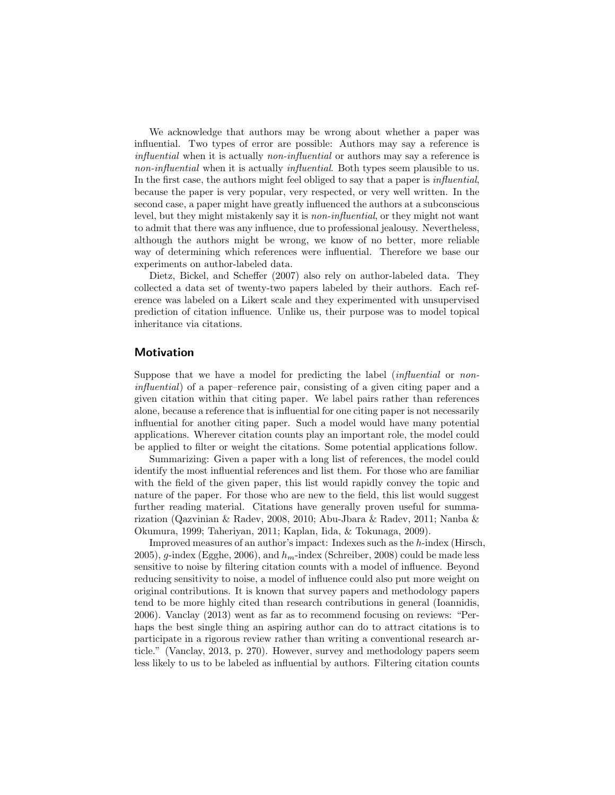We acknowledge that authors may be wrong about whether a paper was influential. Two types of error are possible: Authors may say a reference is influential when it is actually non-influential or authors may say a reference is non-influential when it is actually *influential*. Both types seem plausible to us. In the first case, the authors might feel obliged to say that a paper is *influential*, because the paper is very popular, very respected, or very well written. In the second case, a paper might have greatly influenced the authors at a subconscious level, but they might mistakenly say it is non-influential, or they might not want to admit that there was any influence, due to professional jealousy. Nevertheless, although the authors might be wrong, we know of no better, more reliable way of determining which references were influential. Therefore we base our experiments on author-labeled data.

Dietz, Bickel, and Scheffer (2007) also rely on author-labeled data. They collected a data set of twenty-two papers labeled by their authors. Each reference was labeled on a Likert scale and they experimented with unsupervised prediction of citation influence. Unlike us, their purpose was to model topical inheritance via citations.

# **Motivation**

Suppose that we have a model for predicting the label *(influential or non*influential) of a paper–reference pair, consisting of a given citing paper and a given citation within that citing paper. We label pairs rather than references alone, because a reference that is influential for one citing paper is not necessarily influential for another citing paper. Such a model would have many potential applications. Wherever citation counts play an important role, the model could be applied to filter or weight the citations. Some potential applications follow.

Summarizing: Given a paper with a long list of references, the model could identify the most influential references and list them. For those who are familiar with the field of the given paper, this list would rapidly convey the topic and nature of the paper. For those who are new to the field, this list would suggest further reading material. Citations have generally proven useful for summarization (Qazvinian & Radev, 2008, 2010; Abu-Jbara & Radev, 2011; Nanba & Okumura, 1999; Taheriyan, 2011; Kaplan, Iida, & Tokunaga, 2009).

Improved measures of an author's impact: Indexes such as the h-index (Hirsch, 2005), g-index (Egghe, 2006), and  $h_m$ -index (Schreiber, 2008) could be made less sensitive to noise by filtering citation counts with a model of influence. Beyond reducing sensitivity to noise, a model of influence could also put more weight on original contributions. It is known that survey papers and methodology papers tend to be more highly cited than research contributions in general (Ioannidis, 2006). Vanclay (2013) went as far as to recommend focusing on reviews: "Perhaps the best single thing an aspiring author can do to attract citations is to participate in a rigorous review rather than writing a conventional research article." (Vanclay, 2013, p. 270). However, survey and methodology papers seem less likely to us to be labeled as influential by authors. Filtering citation counts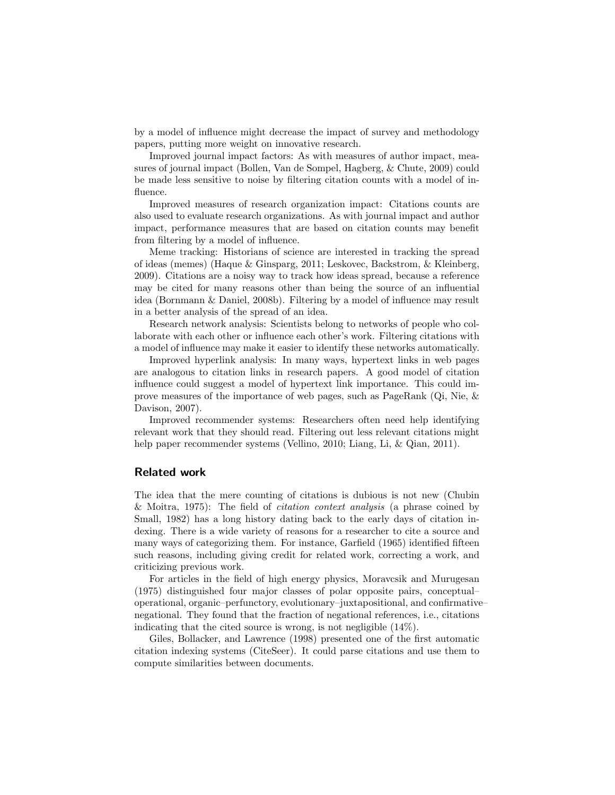by a model of influence might decrease the impact of survey and methodology papers, putting more weight on innovative research.

Improved journal impact factors: As with measures of author impact, measures of journal impact (Bollen, Van de Sompel, Hagberg, & Chute, 2009) could be made less sensitive to noise by filtering citation counts with a model of influence.

Improved measures of research organization impact: Citations counts are also used to evaluate research organizations. As with journal impact and author impact, performance measures that are based on citation counts may benefit from filtering by a model of influence.

Meme tracking: Historians of science are interested in tracking the spread of ideas (memes) (Haque & Ginsparg, 2011; Leskovec, Backstrom, & Kleinberg, 2009). Citations are a noisy way to track how ideas spread, because a reference may be cited for many reasons other than being the source of an influential idea (Bornmann & Daniel, 2008b). Filtering by a model of influence may result in a better analysis of the spread of an idea.

Research network analysis: Scientists belong to networks of people who collaborate with each other or influence each other's work. Filtering citations with a model of influence may make it easier to identify these networks automatically.

Improved hyperlink analysis: In many ways, hypertext links in web pages are analogous to citation links in research papers. A good model of citation influence could suggest a model of hypertext link importance. This could improve measures of the importance of web pages, such as PageRank (Qi, Nie, & Davison, 2007).

Improved recommender systems: Researchers often need help identifying relevant work that they should read. Filtering out less relevant citations might help paper recommender systems (Vellino, 2010; Liang, Li, & Qian, 2011).

# Related work

The idea that the mere counting of citations is dubious is not new (Chubin & Moitra, 1975): The field of citation context analysis (a phrase coined by Small, 1982) has a long history dating back to the early days of citation indexing. There is a wide variety of reasons for a researcher to cite a source and many ways of categorizing them. For instance, Garfield (1965) identified fifteen such reasons, including giving credit for related work, correcting a work, and criticizing previous work.

For articles in the field of high energy physics, Moravcsik and Murugesan (1975) distinguished four major classes of polar opposite pairs, conceptual– operational, organic–perfunctory, evolutionary–juxtapositional, and confirmative– negational. They found that the fraction of negational references, i.e., citations indicating that the cited source is wrong, is not negligible (14%).

Giles, Bollacker, and Lawrence (1998) presented one of the first automatic citation indexing systems (CiteSeer). It could parse citations and use them to compute similarities between documents.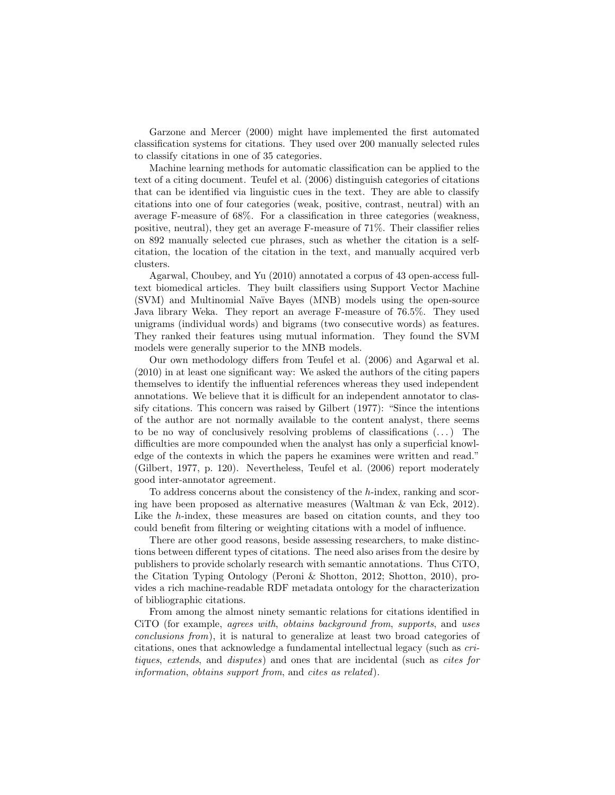Garzone and Mercer (2000) might have implemented the first automated classification systems for citations. They used over 200 manually selected rules to classify citations in one of 35 categories.

Machine learning methods for automatic classification can be applied to the text of a citing document. Teufel et al. (2006) distinguish categories of citations that can be identified via linguistic cues in the text. They are able to classify citations into one of four categories (weak, positive, contrast, neutral) with an average F-measure of 68%. For a classification in three categories (weakness, positive, neutral), they get an average F-measure of 71%. Their classifier relies on 892 manually selected cue phrases, such as whether the citation is a selfcitation, the location of the citation in the text, and manually acquired verb clusters.

Agarwal, Choubey, and Yu (2010) annotated a corpus of 43 open-access fulltext biomedical articles. They built classifiers using Support Vector Machine (SVM) and Multinomial Na¨ıve Bayes (MNB) models using the open-source Java library Weka. They report an average F-measure of 76.5%. They used unigrams (individual words) and bigrams (two consecutive words) as features. They ranked their features using mutual information. They found the SVM models were generally superior to the MNB models.

Our own methodology differs from Teufel et al. (2006) and Agarwal et al. (2010) in at least one significant way: We asked the authors of the citing papers themselves to identify the influential references whereas they used independent annotations. We believe that it is difficult for an independent annotator to classify citations. This concern was raised by Gilbert (1977): "Since the intentions of the author are not normally available to the content analyst, there seems to be no way of conclusively resolving problems of classifications  $(\ldots)$  The difficulties are more compounded when the analyst has only a superficial knowledge of the contexts in which the papers he examines were written and read." (Gilbert, 1977, p. 120). Nevertheless, Teufel et al. (2006) report moderately good inter-annotator agreement.

To address concerns about the consistency of the h-index, ranking and scoring have been proposed as alternative measures (Waltman & van Eck, 2012). Like the h-index, these measures are based on citation counts, and they too could benefit from filtering or weighting citations with a model of influence.

There are other good reasons, beside assessing researchers, to make distinctions between different types of citations. The need also arises from the desire by publishers to provide scholarly research with semantic annotations. Thus CiTO, the Citation Typing Ontology (Peroni & Shotton, 2012; Shotton, 2010), provides a rich machine-readable RDF metadata ontology for the characterization of bibliographic citations.

From among the almost ninety semantic relations for citations identified in CiTO (for example, agrees with, obtains background from, supports, and uses conclusions from), it is natural to generalize at least two broad categories of citations, ones that acknowledge a fundamental intellectual legacy (such as critiques, extends, and disputes) and ones that are incidental (such as cites for information, obtains support from, and cites as related).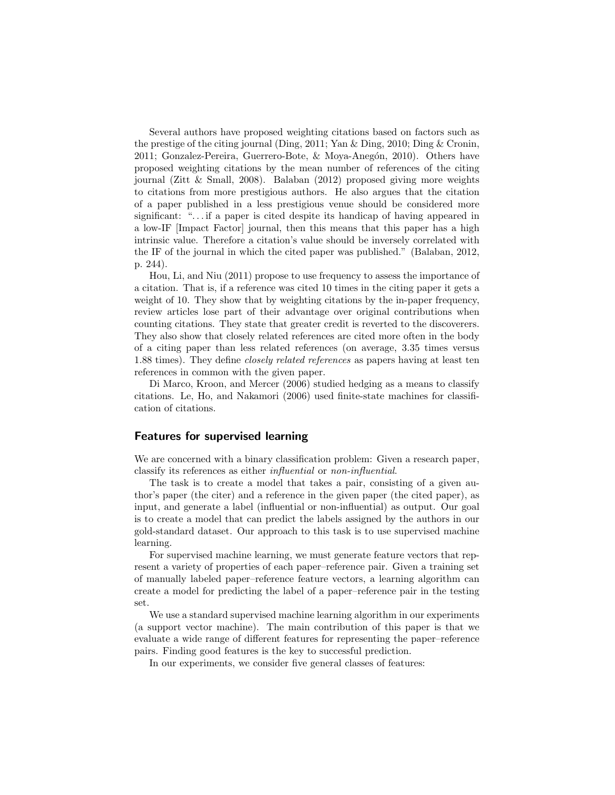Several authors have proposed weighting citations based on factors such as the prestige of the citing journal (Ding, 2011; Yan & Ding, 2010; Ding & Cronin, 2011; Gonzalez-Pereira, Guerrero-Bote, & Mova-Anegón, 2010). Others have proposed weighting citations by the mean number of references of the citing journal (Zitt & Small, 2008). Balaban (2012) proposed giving more weights to citations from more prestigious authors. He also argues that the citation of a paper published in a less prestigious venue should be considered more significant: ". . . if a paper is cited despite its handicap of having appeared in a low-IF [Impact Factor] journal, then this means that this paper has a high intrinsic value. Therefore a citation's value should be inversely correlated with the IF of the journal in which the cited paper was published." (Balaban, 2012, p. 244).

Hou, Li, and Niu (2011) propose to use frequency to assess the importance of a citation. That is, if a reference was cited 10 times in the citing paper it gets a weight of 10. They show that by weighting citations by the in-paper frequency, review articles lose part of their advantage over original contributions when counting citations. They state that greater credit is reverted to the discoverers. They also show that closely related references are cited more often in the body of a citing paper than less related references (on average, 3.35 times versus 1.88 times). They define *closely related references* as papers having at least ten references in common with the given paper.

Di Marco, Kroon, and Mercer (2006) studied hedging as a means to classify citations. Le, Ho, and Nakamori (2006) used finite-state machines for classification of citations.

# Features for supervised learning

We are concerned with a binary classification problem: Given a research paper, classify its references as either influential or non-influential.

The task is to create a model that takes a pair, consisting of a given author's paper (the citer) and a reference in the given paper (the cited paper), as input, and generate a label (influential or non-influential) as output. Our goal is to create a model that can predict the labels assigned by the authors in our gold-standard dataset. Our approach to this task is to use supervised machine learning.

For supervised machine learning, we must generate feature vectors that represent a variety of properties of each paper–reference pair. Given a training set of manually labeled paper–reference feature vectors, a learning algorithm can create a model for predicting the label of a paper–reference pair in the testing set.

We use a standard supervised machine learning algorithm in our experiments (a support vector machine). The main contribution of this paper is that we evaluate a wide range of different features for representing the paper–reference pairs. Finding good features is the key to successful prediction.

In our experiments, we consider five general classes of features: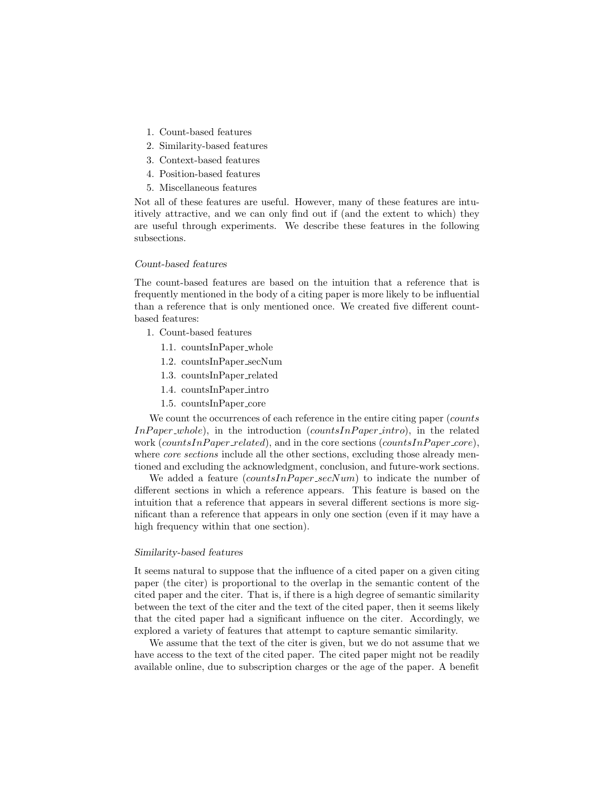- 1. Count-based features
- 2. Similarity-based features
- 3. Context-based features
- 4. Position-based features
- 5. Miscellaneous features

Not all of these features are useful. However, many of these features are intuitively attractive, and we can only find out if (and the extent to which) they are useful through experiments. We describe these features in the following subsections.

### Count-based features

The count-based features are based on the intuition that a reference that is frequently mentioned in the body of a citing paper is more likely to be influential than a reference that is only mentioned once. We created five different countbased features:

- 1. Count-based features
	- 1.1. countsInPaper whole
	- 1.2. countsInPaper secNum
	- 1.3. countsInPaper related
	- 1.4. countsInPaper intro
	- 1.5. countsInPaper core

We count the occurrences of each reference in the entire citing paper (counts  $In Paper\_whole$ , in the introduction (countsInPaper\_intro), in the related work (countsInP aper\_related), and in the core sections (countsInP aper\_core), where *core sections* include all the other sections, excluding those already mentioned and excluding the acknowledgment, conclusion, and future-work sections.

We added a feature  $(countsInPaper\_secNum)$  to indicate the number of different sections in which a reference appears. This feature is based on the intuition that a reference that appears in several different sections is more significant than a reference that appears in only one section (even if it may have a high frequency within that one section).

# Similarity-based features

It seems natural to suppose that the influence of a cited paper on a given citing paper (the citer) is proportional to the overlap in the semantic content of the cited paper and the citer. That is, if there is a high degree of semantic similarity between the text of the citer and the text of the cited paper, then it seems likely that the cited paper had a significant influence on the citer. Accordingly, we explored a variety of features that attempt to capture semantic similarity.

We assume that the text of the citer is given, but we do not assume that we have access to the text of the cited paper. The cited paper might not be readily available online, due to subscription charges or the age of the paper. A benefit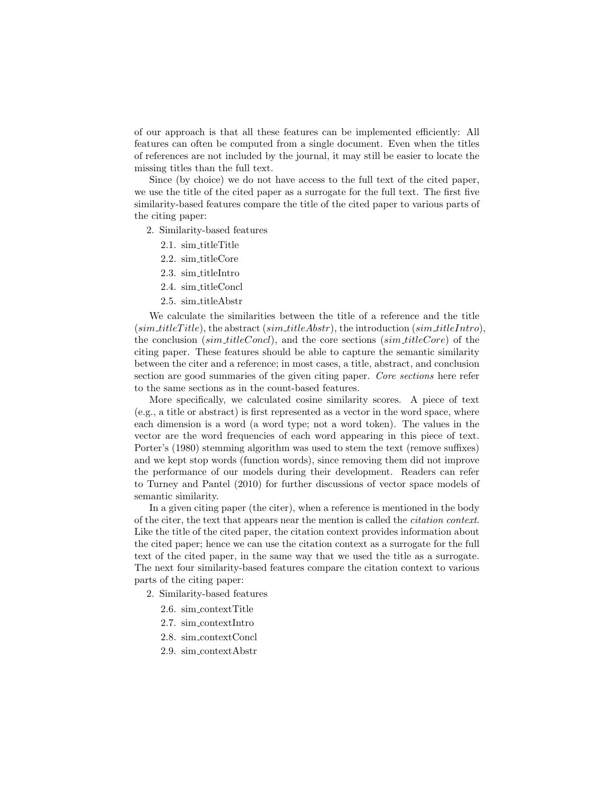of our approach is that all these features can be implemented efficiently: All features can often be computed from a single document. Even when the titles of references are not included by the journal, it may still be easier to locate the missing titles than the full text.

Since (by choice) we do not have access to the full text of the cited paper, we use the title of the cited paper as a surrogate for the full text. The first five similarity-based features compare the title of the cited paper to various parts of the citing paper:

2. Similarity-based features

- 2.1. sim titleTitle
- 2.2. sim titleCore
- 2.3. sim titleIntro
- 2.4. sim titleConcl
- 2.5. sim titleAbstr

We calculate the similarities between the title of a reference and the title  $(sim\_titleTitle)$ , the abstract  $(sim\_titleAbstr)$ , the introduction  $(sim\_titleIntro)$ , the conclusion (sim titleConcl), and the core sections (sim titleCore) of the citing paper. These features should be able to capture the semantic similarity between the citer and a reference; in most cases, a title, abstract, and conclusion section are good summaries of the given citing paper. Core sections here refer to the same sections as in the count-based features.

More specifically, we calculated cosine similarity scores. A piece of text (e.g., a title or abstract) is first represented as a vector in the word space, where each dimension is a word (a word type; not a word token). The values in the vector are the word frequencies of each word appearing in this piece of text. Porter's (1980) stemming algorithm was used to stem the text (remove suffixes) and we kept stop words (function words), since removing them did not improve the performance of our models during their development. Readers can refer to Turney and Pantel (2010) for further discussions of vector space models of semantic similarity.

In a given citing paper (the citer), when a reference is mentioned in the body of the citer, the text that appears near the mention is called the citation context. Like the title of the cited paper, the citation context provides information about the cited paper; hence we can use the citation context as a surrogate for the full text of the cited paper, in the same way that we used the title as a surrogate. The next four similarity-based features compare the citation context to various parts of the citing paper:

- 2. Similarity-based features
	- 2.6. sim contextTitle
	- 2.7. sim contextIntro
	- 2.8. sim contextConcl
	- 2.9. sim contextAbstr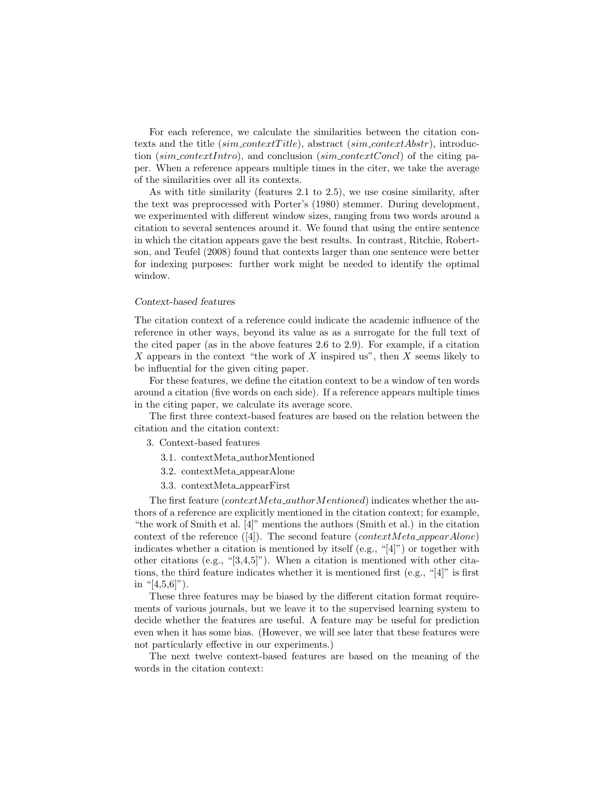For each reference, we calculate the similarities between the citation contexts and the title  $(sim\_contextTitle)$ , abstract  $(sim\_contextAbstract)$ , introduction (sim\_contextIntro), and conclusion (sim\_contextConcl) of the citing paper. When a reference appears multiple times in the citer, we take the average of the similarities over all its contexts.

As with title similarity (features 2.1 to 2.5), we use cosine similarity, after the text was preprocessed with Porter's (1980) stemmer. During development, we experimented with different window sizes, ranging from two words around a citation to several sentences around it. We found that using the entire sentence in which the citation appears gave the best results. In contrast, Ritchie, Robertson, and Teufel (2008) found that contexts larger than one sentence were better for indexing purposes: further work might be needed to identify the optimal window.

#### Context-based features

The citation context of a reference could indicate the academic influence of the reference in other ways, beyond its value as as a surrogate for the full text of the cited paper (as in the above features 2.6 to 2.9). For example, if a citation X appears in the context "the work of X inspired us", then X seems likely to be influential for the given citing paper.

For these features, we define the citation context to be a window of ten words around a citation (five words on each side). If a reference appears multiple times in the citing paper, we calculate its average score.

The first three context-based features are based on the relation between the citation and the citation context:

3. Context-based features

- 3.1. contextMeta authorMentioned
- 3.2. contextMeta appearAlone
- 3.3. contextMeta appearFirst

The first feature (context Meta\_author Mentioned) indicates whether the authors of a reference are explicitly mentioned in the citation context; for example, "the work of Smith et al. [4]" mentions the authors (Smith et al.) in the citation context of the reference  $([4])$ . The second feature (*contextMeta\_appearAlone*) indicates whether a citation is mentioned by itself (e.g., "[4]") or together with other citations (e.g., "[3,4,5]"). When a citation is mentioned with other citations, the third feature indicates whether it is mentioned first (e.g., "[4]" is first in " $[4,5,6]$ ").

These three features may be biased by the different citation format requirements of various journals, but we leave it to the supervised learning system to decide whether the features are useful. A feature may be useful for prediction even when it has some bias. (However, we will see later that these features were not particularly effective in our experiments.)

The next twelve context-based features are based on the meaning of the words in the citation context: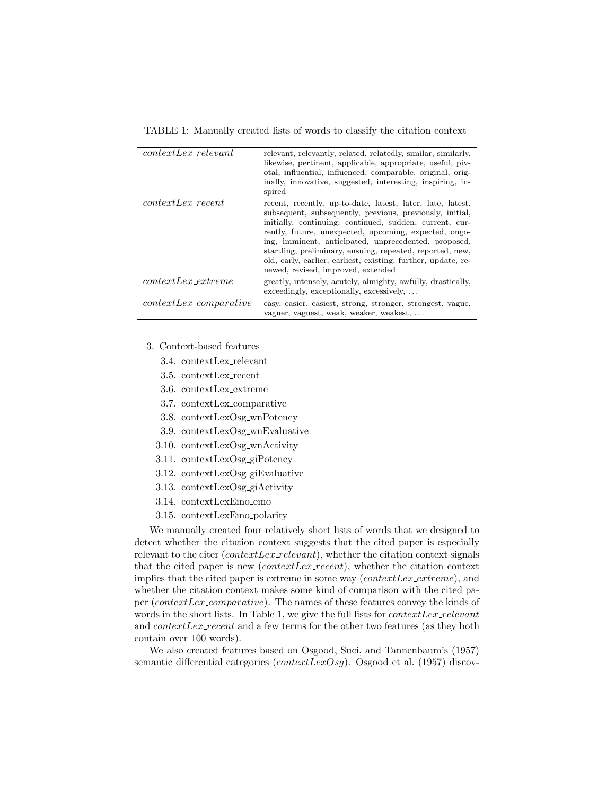TABLE 1: Manually created lists of words to classify the citation context

| $contextLex\_relevant$                  | relevant, relevantly, related, relatedly, similar, similarly,<br>likewise, pertinent, applicable, appropriate, useful, piv-<br>otal, influential, influenced, comparable, original, orig-<br>inally, innovative, suggested, interesting, inspiring, in-<br>spired                                                                                                                                                                                                      |
|-----------------------------------------|------------------------------------------------------------------------------------------------------------------------------------------------------------------------------------------------------------------------------------------------------------------------------------------------------------------------------------------------------------------------------------------------------------------------------------------------------------------------|
| $contextLex\_recent$                    | recent, recently, up-to-date, latest, later, late, latest,<br>subsequent, subsequently, previous, previously, initial,<br>initially, continuing, continued, sudden, current, cur-<br>rently, future, unexpected, upcoming, expected, ongo-<br>ing, imminent, anticipated, unprecedented, proposed,<br>startling, preliminary, ensuing, repeated, reported, new,<br>old, early, earlier, earliest, existing, further, update, re-<br>newed, revised, improved, extended |
| $contextLex\_extreme$                   | greatly, intensely, acutely, almighty, awfully, drastically,<br>$exceedingly, exceptionally, excessively, $                                                                                                                                                                                                                                                                                                                                                            |
| $contextLex_{\mathcal{L}}{}comparative$ | easy, easier, easiest, strong, stronger, strongest, vague,<br>vaguer, vaguest, weak, weaker, weakest,                                                                                                                                                                                                                                                                                                                                                                  |

#### 3. Context-based features

- 3.4. contextLex relevant
- 3.5. contextLex recent
- 3.6. contextLex extreme
- 3.7. contextLex comparative
- 3.8. contextLexOsg wnPotency
- 3.9. contextLexOsg wnEvaluative
- 3.10. contextLexOsg\_wnActivity
- 3.11. contextLexOsg giPotency
- 3.12. contextLexOsg giEvaluative
- 3.13. contextLexOsg giActivity
- 3.14. contextLexEmo emo
- 3.15. contextLexEmo polarity

We manually created four relatively short lists of words that we designed to detect whether the citation context suggests that the cited paper is especially relevant to the citer ( $contextLex\_relevant$ ), whether the citation context signals that the cited paper is new *(contextLex recent)*, whether the citation context implies that the cited paper is extreme in some way ( $contextLex\_extreme$ ), and whether the citation context makes some kind of comparison with the cited paper (contextLex comparative). The names of these features convey the kinds of words in the short lists. In Table 1, we give the full lists for  $contextLex\_relevant$ and *contextLex\_recent* and a few terms for the other two features (as they both contain over 100 words).

We also created features based on Osgood, Suci, and Tannenbaum's (1957) semantic differential categories ( $contextLexOsg$ ). Osgood et al. (1957) discov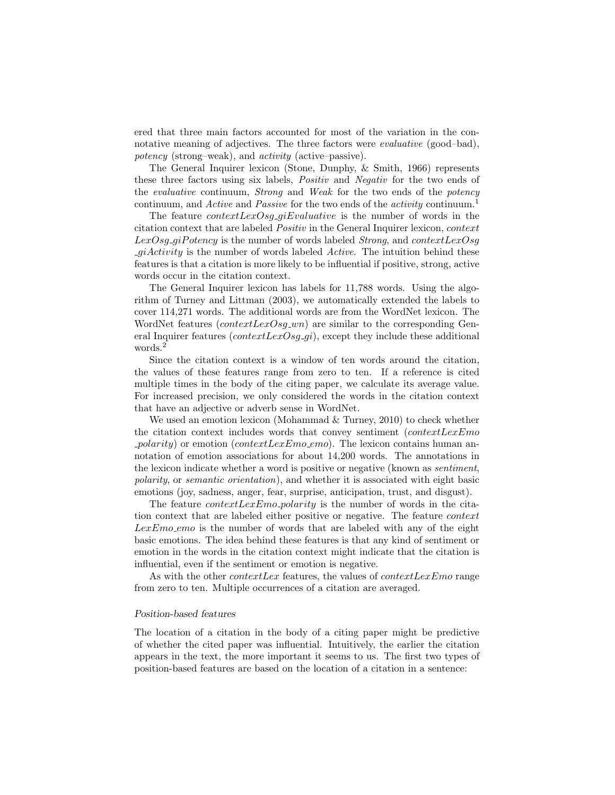ered that three main factors accounted for most of the variation in the connotative meaning of adjectives. The three factors were *evaluative* (good–bad), potency (strong–weak), and *activity* (active–passive).

The General Inquirer lexicon (Stone, Dunphy, & Smith, 1966) represents these three factors using six labels, Positiv and Negativ for the two ends of the evaluative continuum, Strong and Weak for the two ends of the potency continuum, and Active and Passive for the two ends of the activity continuum.<sup>1</sup>

The feature *contextLexOsg\_giEvaluative* is the number of words in the citation context that are labeled Positiv in the General Inquirer lexicon, context  $LexOsg_q$  iP otency is the number of words labeled *Strong*, and *contextLexOsg*  $qiActivity$  is the number of words labeled Active. The intuition behind these features is that a citation is more likely to be influential if positive, strong, active words occur in the citation context.

The General Inquirer lexicon has labels for 11,788 words. Using the algorithm of Turney and Littman (2003), we automatically extended the labels to cover 114,271 words. The additional words are from the WordNet lexicon. The WordNet features ( $contextLexOsg_wn$ ) are similar to the corresponding General Inquirer features ( $contextLexOsg_q(i)$ , except they include these additional words.<sup>2</sup>

Since the citation context is a window of ten words around the citation, the values of these features range from zero to ten. If a reference is cited multiple times in the body of the citing paper, we calculate its average value. For increased precision, we only considered the words in the citation context that have an adjective or adverb sense in WordNet.

We used an emotion lexicon (Mohammad & Turney, 2010) to check whether the citation context includes words that convey sentiment ( $contextLexEmo$ *polarity*) or emotion (*contextLexEmo\_emo*). The lexicon contains human annotation of emotion associations for about 14,200 words. The annotations in the lexicon indicate whether a word is positive or negative (known as sentiment, polarity, or *semantic orientation*), and whether it is associated with eight basic emotions (joy, sadness, anger, fear, surprise, anticipation, trust, and disgust).

The feature *contextLexEmo\_polarity* is the number of words in the citation context that are labeled either positive or negative. The feature context  $LexEmo$  emo is the number of words that are labeled with any of the eight basic emotions. The idea behind these features is that any kind of sentiment or emotion in the words in the citation context might indicate that the citation is influential, even if the sentiment or emotion is negative.

As with the other *contextLex* features, the values of *contextLexEmo* range from zero to ten. Multiple occurrences of a citation are averaged.

### Position-based features

The location of a citation in the body of a citing paper might be predictive of whether the cited paper was influential. Intuitively, the earlier the citation appears in the text, the more important it seems to us. The first two types of position-based features are based on the location of a citation in a sentence: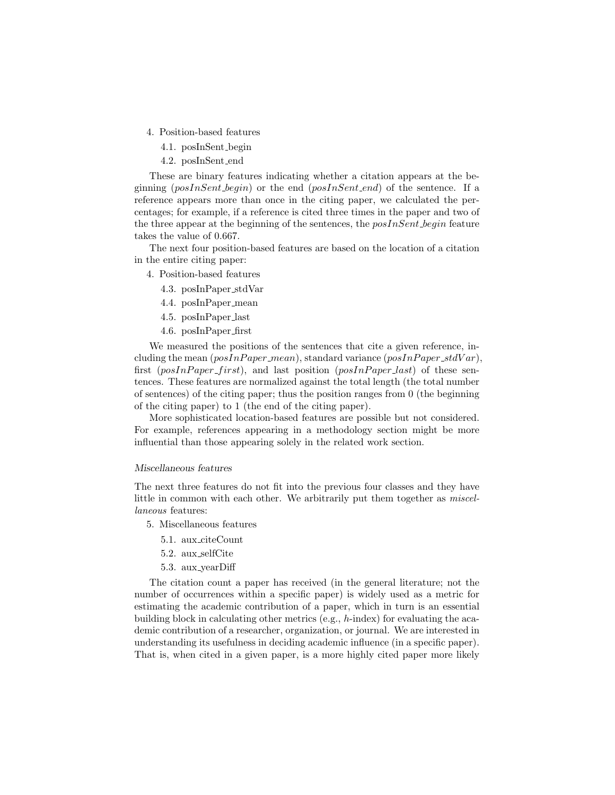4. Position-based features

4.1. posInSent begin

4.2. posInSent\_end

These are binary features indicating whether a citation appears at the beginning ( $posInSent\_\text{begin})$  or the end ( $posInSent\_\text{end})$ ) of the sentence. If a reference appears more than once in the citing paper, we calculated the percentages; for example, if a reference is cited three times in the paper and two of the three appear at the beginning of the sentences, the  $posInSent\_\mathit{begin}$  feature takes the value of 0.667.

The next four position-based features are based on the location of a citation in the entire citing paper:

4. Position-based features

4.3. posInPaper stdVar

4.4. posInPaper mean

4.5. posInPaper last

4.6. posInPaper first

We measured the positions of the sentences that cite a given reference, including the mean ( $posInPaper_{.}mean$ ), standard variance ( $posInPaper_{.}stdVar$ ), first  $(poshPaper\_first)$ , and last position  $(poshPaper\_last)$  of these sentences. These features are normalized against the total length (the total number of sentences) of the citing paper; thus the position ranges from 0 (the beginning of the citing paper) to 1 (the end of the citing paper).

More sophisticated location-based features are possible but not considered. For example, references appearing in a methodology section might be more influential than those appearing solely in the related work section.

### Miscellaneous features

The next three features do not fit into the previous four classes and they have little in common with each other. We arbitrarily put them together as miscellaneous features:

- 5. Miscellaneous features
	- 5.1. aux citeCount
	- 5.2. aux selfCite
	- 5.3. aux yearDiff

The citation count a paper has received (in the general literature; not the number of occurrences within a specific paper) is widely used as a metric for estimating the academic contribution of a paper, which in turn is an essential building block in calculating other metrics (e.g., h-index) for evaluating the academic contribution of a researcher, organization, or journal. We are interested in understanding its usefulness in deciding academic influence (in a specific paper). That is, when cited in a given paper, is a more highly cited paper more likely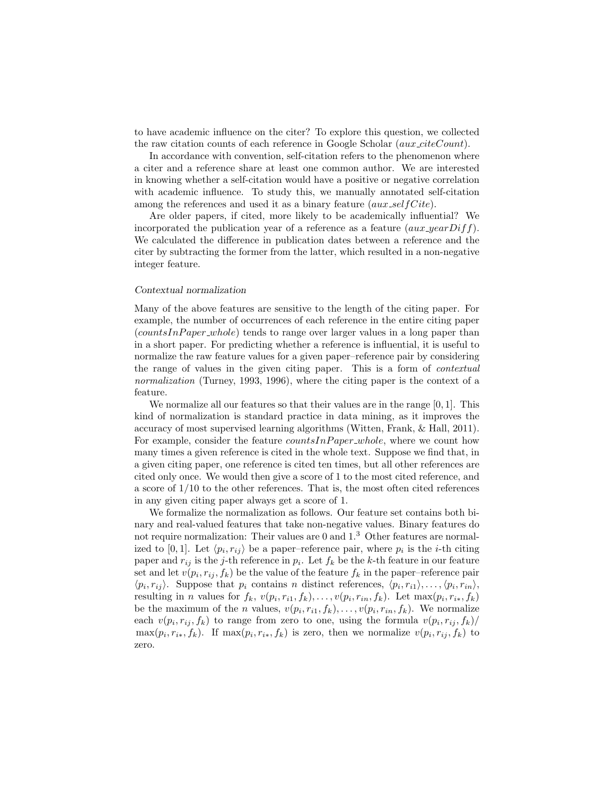to have academic influence on the citer? To explore this question, we collected the raw citation counts of each reference in Google Scholar  $(aux\_citeCount).$ 

In accordance with convention, self-citation refers to the phenomenon where a citer and a reference share at least one common author. We are interested in knowing whether a self-citation would have a positive or negative correlation with academic influence. To study this, we manually annotated self-citation among the references and used it as a binary feature  $(aux\_selfCite)$ .

Are older papers, if cited, more likely to be academically influential? We incorporated the publication year of a reference as a feature  $(aux\_yearDiff)$ . We calculated the difference in publication dates between a reference and the citer by subtracting the former from the latter, which resulted in a non-negative integer feature.

#### Contextual normalization

Many of the above features are sensitive to the length of the citing paper. For example, the number of occurrences of each reference in the entire citing paper (countsInP aper whole) tends to range over larger values in a long paper than in a short paper. For predicting whether a reference is influential, it is useful to normalize the raw feature values for a given paper–reference pair by considering the range of values in the given citing paper. This is a form of contextual normalization (Turney, 1993, 1996), where the citing paper is the context of a feature.

We normalize all our features so that their values are in the range  $[0, 1]$ . This kind of normalization is standard practice in data mining, as it improves the accuracy of most supervised learning algorithms (Witten, Frank, & Hall, 2011). For example, consider the feature  $countsInPaper. whole$ , where we count how many times a given reference is cited in the whole text. Suppose we find that, in a given citing paper, one reference is cited ten times, but all other references are cited only once. We would then give a score of 1 to the most cited reference, and a score of 1/10 to the other references. That is, the most often cited references in any given citing paper always get a score of 1.

We formalize the normalization as follows. Our feature set contains both binary and real-valued features that take non-negative values. Binary features do not require normalization: Their values are 0 and 1.<sup>3</sup> Other features are normalized to [0, 1]. Let  $\langle p_i, r_{ij} \rangle$  be a paper–reference pair, where  $p_i$  is the *i*-th citing paper and  $r_{ij}$  is the j-th reference in  $p_i$ . Let  $f_k$  be the k-th feature in our feature set and let  $v(p_i, r_{ij}, f_k)$  be the value of the feature  $f_k$  in the paper–reference pair  $\langle p_i, r_{ij} \rangle$ . Suppose that  $p_i$  contains n distinct references,  $\langle p_i, r_{i1} \rangle, \ldots, \langle p_i, r_{in} \rangle$ , resulting in *n* values for  $f_k$ ,  $v(p_i, r_{i1}, f_k), \ldots, v(p_i, r_{in}, f_k)$ . Let  $\max(p_i, r_{i*}, f_k)$ be the maximum of the *n* values,  $v(p_i, r_{i1}, f_k), \ldots, v(p_i, r_{in}, f_k)$ . We normalize each  $v(p_i, r_{ij}, f_k)$  to range from zero to one, using the formula  $v(p_i, r_{ij}, f_k)/\sqrt{k}$  $\max(p_i, r_{i*}, f_k)$ . If  $\max(p_i, r_{i*}, f_k)$  is zero, then we normalize  $v(p_i, r_{ij}, f_k)$  to zero.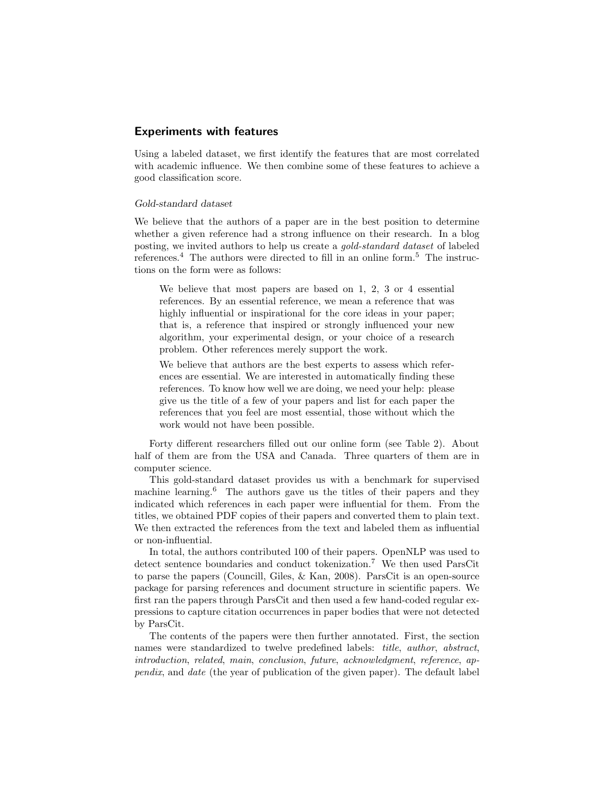# Experiments with features

Using a labeled dataset, we first identify the features that are most correlated with academic influence. We then combine some of these features to achieve a good classification score.

### Gold-standard dataset

We believe that the authors of a paper are in the best position to determine whether a given reference had a strong influence on their research. In a blog posting, we invited authors to help us create a gold-standard dataset of labeled references.<sup>4</sup> The authors were directed to fill in an online form.<sup>5</sup> The instructions on the form were as follows:

We believe that most papers are based on 1, 2, 3 or 4 essential references. By an essential reference, we mean a reference that was highly influential or inspirational for the core ideas in your paper; that is, a reference that inspired or strongly influenced your new algorithm, your experimental design, or your choice of a research problem. Other references merely support the work.

We believe that authors are the best experts to assess which references are essential. We are interested in automatically finding these references. To know how well we are doing, we need your help: please give us the title of a few of your papers and list for each paper the references that you feel are most essential, those without which the work would not have been possible.

Forty different researchers filled out our online form (see Table 2). About half of them are from the USA and Canada. Three quarters of them are in computer science.

This gold-standard dataset provides us with a benchmark for supervised machine learning.<sup>6</sup> The authors gave us the titles of their papers and they indicated which references in each paper were influential for them. From the titles, we obtained PDF copies of their papers and converted them to plain text. We then extracted the references from the text and labeled them as influential or non-influential.

In total, the authors contributed 100 of their papers. OpenNLP was used to detect sentence boundaries and conduct tokenization.<sup>7</sup> We then used ParsCit to parse the papers (Councill, Giles, & Kan, 2008). ParsCit is an open-source package for parsing references and document structure in scientific papers. We first ran the papers through ParsCit and then used a few hand-coded regular expressions to capture citation occurrences in paper bodies that were not detected by ParsCit.

The contents of the papers were then further annotated. First, the section names were standardized to twelve predefined labels: title, author, abstract, introduction, related, main, conclusion, future, acknowledgment, reference, appendix, and date (the year of publication of the given paper). The default label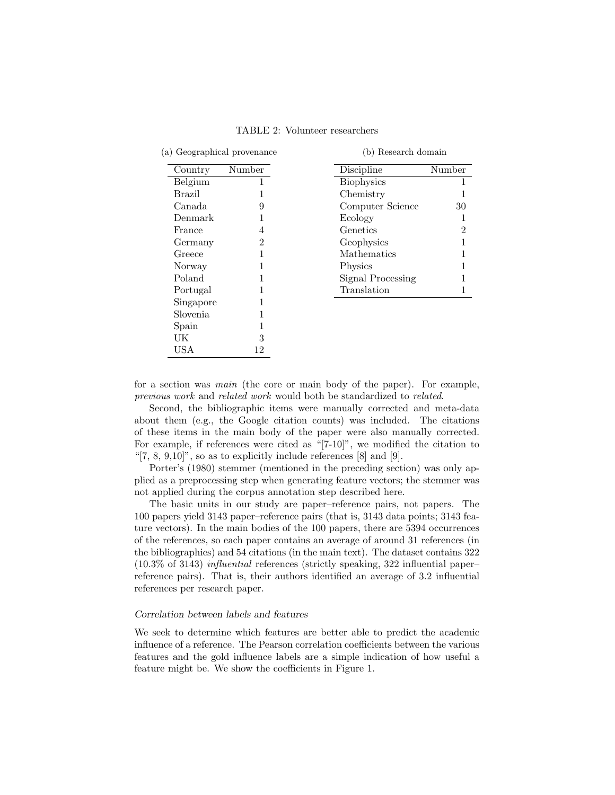TABLE 2: Volunteer researchers

| Country   | Number |
|-----------|--------|
|           | 1      |
| Belgium   |        |
| Brazil    | 1      |
| Canada    | 9      |
| Denmark   | 1      |
| France    | 4      |
| Germany   | 2      |
| Greece    | 1      |
| Norway    | 1      |
| Poland    | 1      |
| Portugal  | 1      |
| Singapore | 1      |
| Slovenia  | 1      |
| Spain     | 1      |
| UK        | 3      |
| USA       | 12     |

(a) Geographical provenance

| Number<br>Discipline<br><b>Biophysics</b><br>1<br>Chemistry<br>1<br>Computer Science<br>30 |
|--------------------------------------------------------------------------------------------|
|                                                                                            |
|                                                                                            |
|                                                                                            |
|                                                                                            |
| Ecology<br>1                                                                               |
| Genetics<br>$\overline{2}$                                                                 |
| 1<br>Geophysics                                                                            |
| Mathematics<br>1                                                                           |
| 1<br><b>Physics</b>                                                                        |
| Signal Processing<br>1                                                                     |
| Translation<br>1                                                                           |

for a section was main (the core or main body of the paper). For example, previous work and related work would both be standardized to related.

Second, the bibliographic items were manually corrected and meta-data about them (e.g., the Google citation counts) was included. The citations of these items in the main body of the paper were also manually corrected. For example, if references were cited as "[7-10]", we modified the citation to " $[7, 8, 9, 10]$ ", so as to explicitly include references  $[8]$  and  $[9]$ .

Porter's (1980) stemmer (mentioned in the preceding section) was only applied as a preprocessing step when generating feature vectors; the stemmer was not applied during the corpus annotation step described here.

The basic units in our study are paper–reference pairs, not papers. The 100 papers yield 3143 paper–reference pairs (that is, 3143 data points; 3143 feature vectors). In the main bodies of the 100 papers, there are 5394 occurrences of the references, so each paper contains an average of around 31 references (in the bibliographies) and 54 citations (in the main text). The dataset contains 322 (10.3% of 3143) influential references (strictly speaking, 322 influential paper– reference pairs). That is, their authors identified an average of 3.2 influential references per research paper.

### Correlation between labels and features

We seek to determine which features are better able to predict the academic influence of a reference. The Pearson correlation coefficients between the various features and the gold influence labels are a simple indication of how useful a feature might be. We show the coefficients in Figure 1.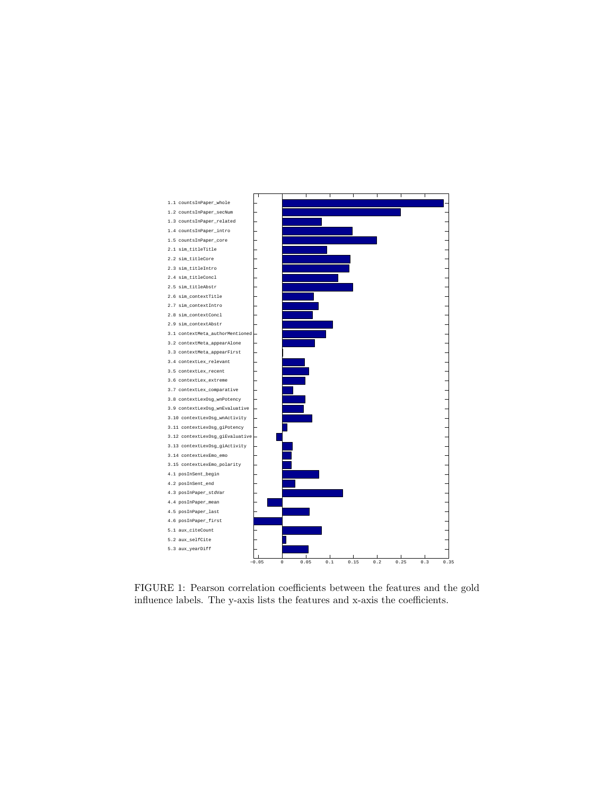

FIGURE 1: Pearson correlation coefficients between the features and the gold influence labels. The y-axis lists the features and x-axis the coefficients.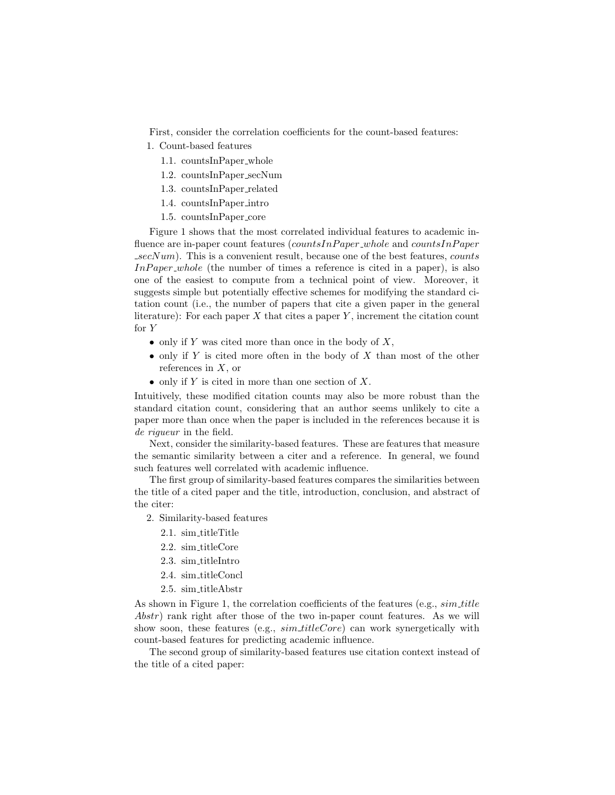First, consider the correlation coefficients for the count-based features:

- 1. Count-based features
	- 1.1. countsInPaper whole
	- 1.2. countsInPaper secNum
	- 1.3. countsInPaper\_related
	- 1.4. countsInPaper intro
	- 1.5. countsInPaper core

Figure 1 shows that the most correlated individual features to academic influence are in-paper count features  $(countsInPaper. whole and countsInPaper$  $secNum$ ). This is a convenient result, because one of the best features, counts In Paper -whole (the number of times a reference is cited in a paper), is also one of the easiest to compute from a technical point of view. Moreover, it suggests simple but potentially effective schemes for modifying the standard citation count (i.e., the number of papers that cite a given paper in the general literature): For each paper  $X$  that cites a paper  $Y$ , increment the citation count for Y

- only if Y was cited more than once in the body of  $X$ ,
- only if Y is cited more often in the body of X than most of the other references in  $X$ , or
- only if  $Y$  is cited in more than one section of  $X$ .

Intuitively, these modified citation counts may also be more robust than the standard citation count, considering that an author seems unlikely to cite a paper more than once when the paper is included in the references because it is de rigueur in the field.

Next, consider the similarity-based features. These are features that measure the semantic similarity between a citer and a reference. In general, we found such features well correlated with academic influence.

The first group of similarity-based features compares the similarities between the title of a cited paper and the title, introduction, conclusion, and abstract of the citer:

- 2. Similarity-based features
	- 2.1. sim titleTitle
	- 2.2. sim titleCore
	- 2.3. sim titleIntro
	- 2.4. sim titleConcl
	- 2.5. sim titleAbstr

As shown in Figure 1, the correlation coefficients of the features (e.g.,  $sim\_title$ ) Abstr) rank right after those of the two in-paper count features. As we will show soon, these features (e.g.,  $sim\_titleCore$ ) can work synergetically with count-based features for predicting academic influence.

The second group of similarity-based features use citation context instead of the title of a cited paper: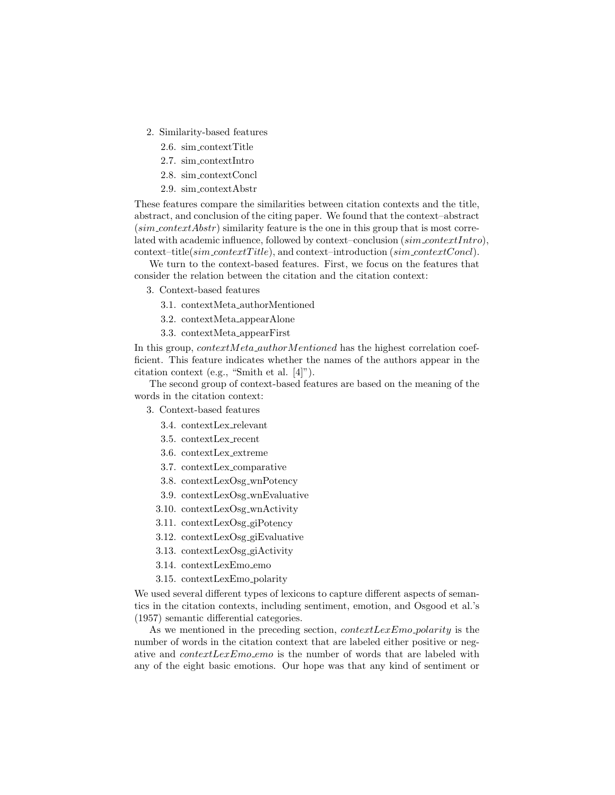- 2. Similarity-based features
	- 2.6. sim contextTitle
	- 2.7. sim contextIntro
	- 2.8. sim contextConcl
	- 2.9. sim contextAbstr

These features compare the similarities between citation contexts and the title, abstract, and conclusion of the citing paper. We found that the context–abstract  $(sim\_contextAbstract)$  similarity feature is the one in this group that is most correlated with academic influence, followed by context–conclusion  $(sim\_contextIntro)$ ,  $context{-}title(sim\_contextTitle)$ , and context-introduction (sim contextConcl).

We turn to the context-based features. First, we focus on the features that consider the relation between the citation and the citation context:

- 3. Context-based features
	- 3.1. contextMeta authorMentioned
	- 3.2. contextMeta appearAlone
	- 3.3. contextMeta appearFirst

In this group, *contextMeta\_authorMentioned* has the highest correlation coefficient. This feature indicates whether the names of the authors appear in the citation context (e.g., "Smith et al. [4]").

The second group of context-based features are based on the meaning of the words in the citation context:

3. Context-based features

- 3.4. contextLex relevant
- 3.5. contextLex recent
- 3.6. contextLex extreme
- 3.7. contextLex comparative
- 3.8. contextLexOsg\_wnPotency
- 3.9. contextLexOsg wnEvaluative
- 3.10. contextLexOsg\_wnActivity
- 3.11. contextLexOsg giPotency
- 3.12. contextLexOsg giEvaluative
- 3.13. contextLexOsg giActivity
- 3.14. contextLexEmo emo
- 3.15. contextLexEmo polarity

We used several different types of lexicons to capture different aspects of semantics in the citation contexts, including sentiment, emotion, and Osgood et al.'s (1957) semantic differential categories.

As we mentioned in the preceding section, *contextLexEmo\_polarity* is the number of words in the citation context that are labeled either positive or negative and *contextLexEmo\_emo* is the number of words that are labeled with any of the eight basic emotions. Our hope was that any kind of sentiment or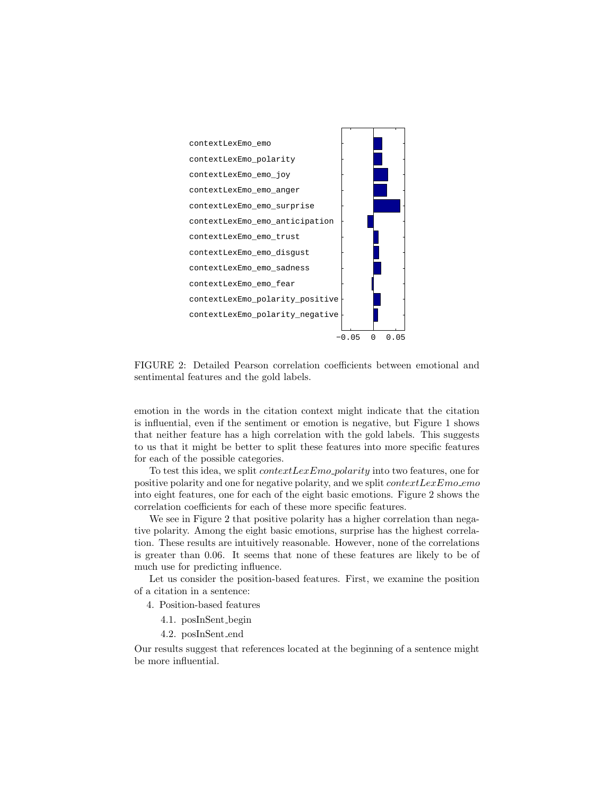

FIGURE 2: Detailed Pearson correlation coefficients between emotional and sentimental features and the gold labels.

emotion in the words in the citation context might indicate that the citation is influential, even if the sentiment or emotion is negative, but Figure 1 shows that neither feature has a high correlation with the gold labels. This suggests to us that it might be better to split these features into more specific features for each of the possible categories.

To test this idea, we split  $contextLexEmo-polarity$  into two features, one for positive polarity and one for negative polarity, and we split  $contextLexEmo_{e}mo_{e}$ into eight features, one for each of the eight basic emotions. Figure 2 shows the correlation coefficients for each of these more specific features.

We see in Figure 2 that positive polarity has a higher correlation than negative polarity. Among the eight basic emotions, surprise has the highest correlation. These results are intuitively reasonable. However, none of the correlations is greater than 0.06. It seems that none of these features are likely to be of much use for predicting influence.

Let us consider the position-based features. First, we examine the position of a citation in a sentence:

- 4. Position-based features
	- 4.1. posInSent begin
	- 4.2. posInSent\_end

Our results suggest that references located at the beginning of a sentence might be more influential.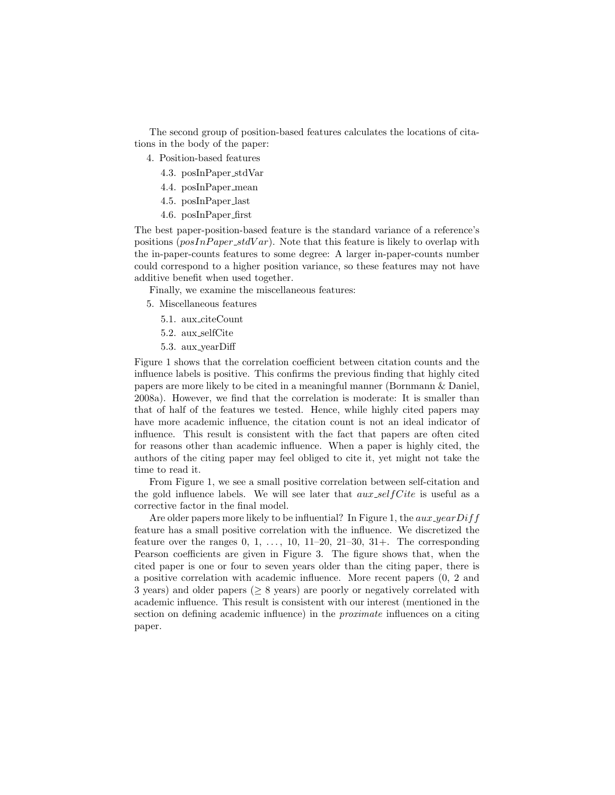The second group of position-based features calculates the locations of citations in the body of the paper:

4. Position-based features

- 4.3. posInPaper stdVar
- 4.4. posInPaper mean
- 4.5. posInPaper last
- 4.6. posInPaper first

The best paper-position-based feature is the standard variance of a reference's positions ( $posInPaper\_stdVar$ ). Note that this feature is likely to overlap with the in-paper-counts features to some degree: A larger in-paper-counts number could correspond to a higher position variance, so these features may not have additive benefit when used together.

Finally, we examine the miscellaneous features:

- 5. Miscellaneous features
	- 5.1. aux citeCount
	- 5.2. aux selfCite
	- 5.3. aux\_vearDiff

Figure 1 shows that the correlation coefficient between citation counts and the influence labels is positive. This confirms the previous finding that highly cited papers are more likely to be cited in a meaningful manner (Bornmann & Daniel, 2008a). However, we find that the correlation is moderate: It is smaller than that of half of the features we tested. Hence, while highly cited papers may have more academic influence, the citation count is not an ideal indicator of influence. This result is consistent with the fact that papers are often cited for reasons other than academic influence. When a paper is highly cited, the authors of the citing paper may feel obliged to cite it, yet might not take the time to read it.

From Figure 1, we see a small positive correlation between self-citation and the gold influence labels. We will see later that  $aux\_selfCite$  is useful as a corrective factor in the final model.

Are older papers more likely to be influential? In Figure 1, the  $aux\_yearDiff$ feature has a small positive correlation with the influence. We discretized the feature over the ranges  $0, 1, ..., 10, 11-20, 21-30, 31+$ . The corresponding Pearson coefficients are given in Figure 3. The figure shows that, when the cited paper is one or four to seven years older than the citing paper, there is a positive correlation with academic influence. More recent papers (0, 2 and 3 years) and older papers ( $\geq 8$  years) are poorly or negatively correlated with academic influence. This result is consistent with our interest (mentioned in the section on defining academic influence) in the proximate influences on a citing paper.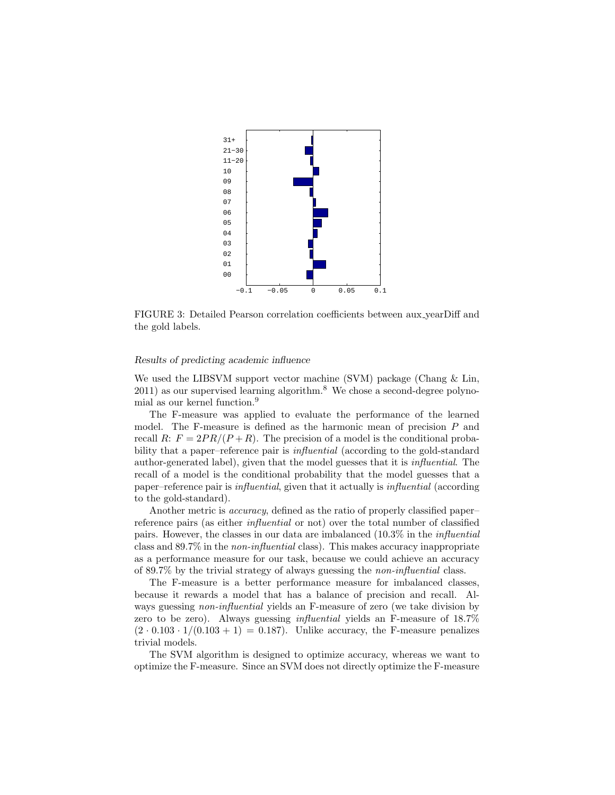

FIGURE 3: Detailed Pearson correlation coefficients between aux yearDiff and the gold labels.

### Results of predicting academic influence

We used the LIBSVM support vector machine (SVM) package (Chang & Lin, 2011) as our supervised learning algorithm.<sup>8</sup> We chose a second-degree polynomial as our kernel function.<sup>9</sup>

The F-measure was applied to evaluate the performance of the learned model. The F-measure is defined as the harmonic mean of precision P and recall R:  $F = 2PR/(P+R)$ . The precision of a model is the conditional probability that a paper–reference pair is *influential* (according to the gold-standard author-generated label), given that the model guesses that it is influential. The recall of a model is the conditional probability that the model guesses that a paper–reference pair is influential, given that it actually is influential (according to the gold-standard).

Another metric is *accuracy*, defined as the ratio of properly classified paper– reference pairs (as either influential or not) over the total number of classified pairs. However, the classes in our data are imbalanced  $(10.3\%$  in the *influential* class and 89.7% in the non-influential class). This makes accuracy inappropriate as a performance measure for our task, because we could achieve an accuracy of 89.7% by the trivial strategy of always guessing the non-influential class.

The F-measure is a better performance measure for imbalanced classes, because it rewards a model that has a balance of precision and recall. Always guessing non-influential yields an F-measure of zero (we take division by zero to be zero). Always guessing influential yields an F-measure of 18.7%  $(2 \cdot 0.103 \cdot 1/(0.103 + 1)) = 0.187$ . Unlike accuracy, the F-measure penalizes trivial models.

The SVM algorithm is designed to optimize accuracy, whereas we want to optimize the F-measure. Since an SVM does not directly optimize the F-measure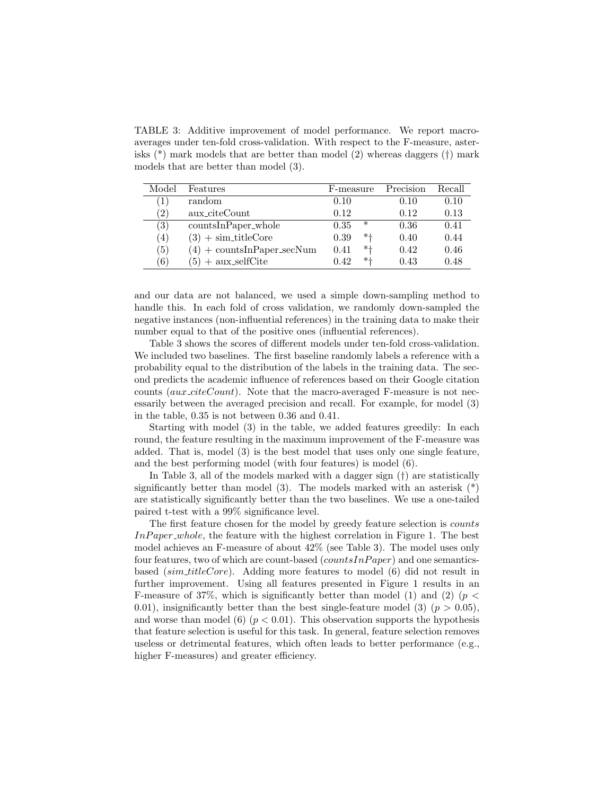TABLE 3: Additive improvement of model performance. We report macroaverages under ten-fold cross-validation. With respect to the F-measure, asterisks  $(*)$  mark models that are better than model (2) whereas daggers  $(*)$  mark models that are better than model (3).

| Model             | Features                             | F-measure      | Precision  | Recall |
|-------------------|--------------------------------------|----------------|------------|--------|
| $\left  \right $  | random                               | 0.10           | 0.10       | 0.10   |
| $^{'}2)$          | aux_citeCount                        | 0.12           | 0.12       | 0.13   |
| $\left( 3\right)$ | countsInPaper_whole                  | $\ast$<br>0.35 | 0.36       | 0.41   |
| (4)               | $(3) + \text{sim\_titleCore}$        | 0.39           | *+<br>0.40 | 0.44   |
| (5)               | $(4) + \text{countsInPaper}$ .secNum | 0.41           | *+<br>0.42 | 0.46   |
| (6)               | $(5) + aux\_selfCite$                | 0.42           | *+<br>0.43 | 0.48   |

and our data are not balanced, we used a simple down-sampling method to handle this. In each fold of cross validation, we randomly down-sampled the negative instances (non-influential references) in the training data to make their number equal to that of the positive ones (influential references).

Table 3 shows the scores of different models under ten-fold cross-validation. We included two baselines. The first baseline randomly labels a reference with a probability equal to the distribution of the labels in the training data. The second predicts the academic influence of references based on their Google citation counts (*aux\_citeCount*). Note that the macro-averaged F-measure is not necessarily between the averaged precision and recall. For example, for model (3) in the table, 0.35 is not between 0.36 and 0.41.

Starting with model (3) in the table, we added features greedily: In each round, the feature resulting in the maximum improvement of the F-measure was added. That is, model (3) is the best model that uses only one single feature, and the best performing model (with four features) is model (6).

In Table 3, all of the models marked with a dagger sign (†) are statistically significantly better than model  $(3)$ . The models marked with an asterisk  $(*)$ are statistically significantly better than the two baselines. We use a one-tailed paired t-test with a 99% significance level.

The first feature chosen for the model by greedy feature selection is *counts*  $In Paper \textit{whole}$ , the feature with the highest correlation in Figure 1. The best model achieves an F-measure of about 42% (see Table 3). The model uses only four features, two of which are count-based ( $countsInPaper$ ) and one semanticsbased  $(sim\_titleCore)$ . Adding more features to model (6) did not result in further improvement. Using all features presented in Figure 1 results in an F-measure of 37%, which is significantly better than model (1) and (2) ( $p <$ 0.01), insignificantly better than the best single-feature model (3)  $(p > 0.05)$ , and worse than model (6)  $(p < 0.01)$ . This observation supports the hypothesis that feature selection is useful for this task. In general, feature selection removes useless or detrimental features, which often leads to better performance (e.g., higher F-measures) and greater efficiency.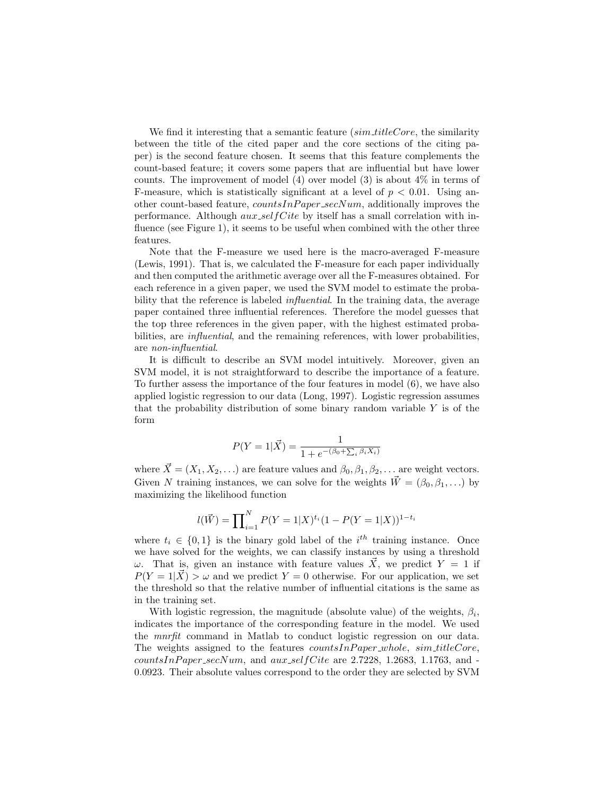We find it interesting that a semantic feature  $(sim\_titleCore)$ , the similarity between the title of the cited paper and the core sections of the citing paper) is the second feature chosen. It seems that this feature complements the count-based feature; it covers some papers that are influential but have lower counts. The improvement of model  $(4)$  over model  $(3)$  is about  $4\%$  in terms of F-measure, which is statistically significant at a level of  $p < 0.01$ . Using another count-based feature,  $countsInPaper\_secNum$ , additionally improves the performance. Although  $aux\_selfCite$  by itself has a small correlation with influence (see Figure 1), it seems to be useful when combined with the other three features.

Note that the F-measure we used here is the macro-averaged F-measure (Lewis, 1991). That is, we calculated the F-measure for each paper individually and then computed the arithmetic average over all the F-measures obtained. For each reference in a given paper, we used the SVM model to estimate the probability that the reference is labeled influential. In the training data, the average paper contained three influential references. Therefore the model guesses that the top three references in the given paper, with the highest estimated probabilities, are influential, and the remaining references, with lower probabilities, are non-influential.

It is difficult to describe an SVM model intuitively. Moreover, given an SVM model, it is not straightforward to describe the importance of a feature. To further assess the importance of the four features in model (6), we have also applied logistic regression to our data (Long, 1997). Logistic regression assumes that the probability distribution of some binary random variable  $Y$  is of the form

$$
P(Y = 1 | \vec{X}) = \frac{1}{1 + e^{-(\beta_0 + \sum_i \beta_i X_i)}}
$$

where  $\vec{X} = (X_1, X_2, \ldots)$  are feature values and  $\beta_0, \beta_1, \beta_2, \ldots$  are weight vectors. Given N training instances, we can solve for the weights  $\vec{W} = (\beta_0, \beta_1, \ldots)$  by maximizing the likelihood function

$$
l(\vec{W}) = \prod_{i=1}^{N} P(Y=1|X)^{t_i} (1 - P(Y=1|X))^{1-t_i}
$$

where  $t_i \in \{0,1\}$  is the binary gold label of the  $i^{th}$  training instance. Once we have solved for the weights, we can classify instances by using a threshold ω. That is, given an instance with feature values  $\vec{X}$ , we predict Y = 1 if  $P(Y = 1|\vec{X}) > \omega$  and we predict Y = 0 otherwise. For our application, we set the threshold so that the relative number of influential citations is the same as in the training set.

With logistic regression, the magnitude (absolute value) of the weights,  $\beta_i$ , indicates the importance of the corresponding feature in the model. We used the mnrfit command in Matlab to conduct logistic regression on our data. The weights assigned to the features  $countsInPaper\_whole, sim.titleCore,$  $countsInPaper{\_}secNum$ , and  $aux\_selfCite$  are 2.7228, 1.2683, 1.1763, and -0.0923. Their absolute values correspond to the order they are selected by SVM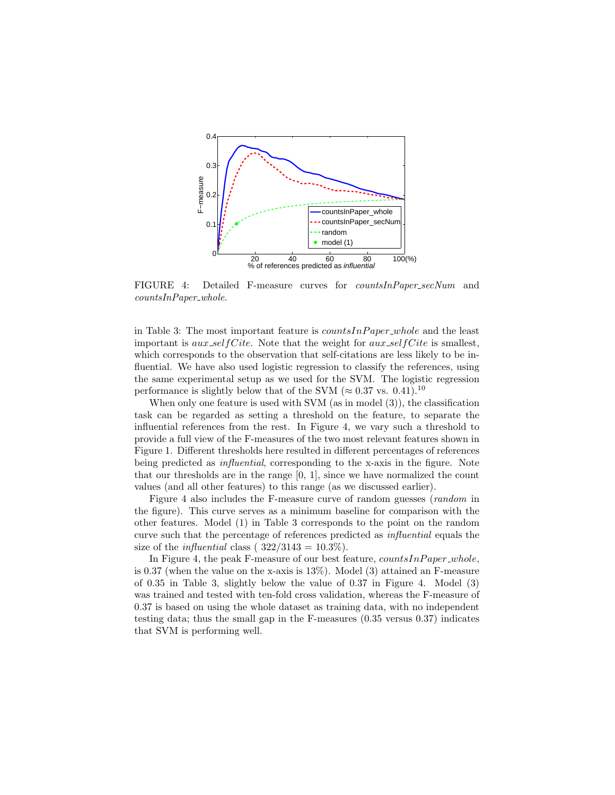

FIGURE 4: Detailed F-measure curves for countsInPaper secNum and  $countsInPaper\_whole.$ 

in Table 3: The most important feature is  $countsInPaper \textit{whole}$  and the least important is  $aux\_selfCite$ . Note that the weight for  $aux\_selfCite$  is smallest, which corresponds to the observation that self-citations are less likely to be influential. We have also used logistic regression to classify the references, using the same experimental setup as we used for the SVM. The logistic regression performance is slightly below that of the SVM ( $\approx 0.37$  vs. 0.41).<sup>10</sup>

When only one feature is used with SVM (as in model (3)), the classification task can be regarded as setting a threshold on the feature, to separate the influential references from the rest. In Figure 4, we vary such a threshold to provide a full view of the F-measures of the two most relevant features shown in Figure 1. Different thresholds here resulted in different percentages of references being predicted as *influential*, corresponding to the x-axis in the figure. Note that our thresholds are in the range [0, 1], since we have normalized the count values (and all other features) to this range (as we discussed earlier).

Figure 4 also includes the F-measure curve of random guesses (random in the figure). This curve serves as a minimum baseline for comparison with the other features. Model (1) in Table 3 corresponds to the point on the random curve such that the percentage of references predicted as influential equals the size of the *influential* class ( $322/3143 = 10.3\%$ ).

In Figure 4, the peak F-measure of our best feature,  $countsInPaper. whole,$ is 0.37 (when the value on the x-axis is 13%). Model (3) attained an F-measure of 0.35 in Table 3, slightly below the value of 0.37 in Figure 4. Model (3) was trained and tested with ten-fold cross validation, whereas the F-measure of 0.37 is based on using the whole dataset as training data, with no independent testing data; thus the small gap in the F-measures (0.35 versus 0.37) indicates that SVM is performing well.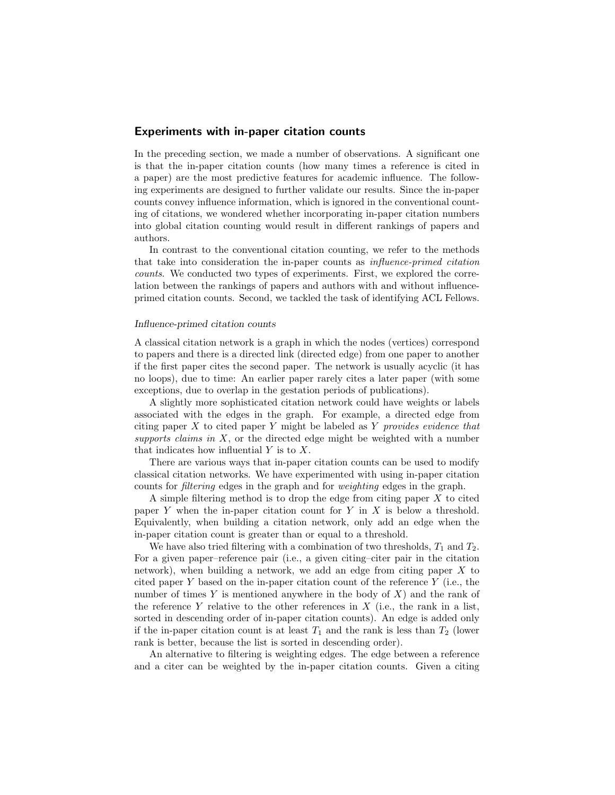# Experiments with in-paper citation counts

In the preceding section, we made a number of observations. A significant one is that the in-paper citation counts (how many times a reference is cited in a paper) are the most predictive features for academic influence. The following experiments are designed to further validate our results. Since the in-paper counts convey influence information, which is ignored in the conventional counting of citations, we wondered whether incorporating in-paper citation numbers into global citation counting would result in different rankings of papers and authors.

In contrast to the conventional citation counting, we refer to the methods that take into consideration the in-paper counts as influence-primed citation counts. We conducted two types of experiments. First, we explored the correlation between the rankings of papers and authors with and without influenceprimed citation counts. Second, we tackled the task of identifying ACL Fellows.

### Influence-primed citation counts

A classical citation network is a graph in which the nodes (vertices) correspond to papers and there is a directed link (directed edge) from one paper to another if the first paper cites the second paper. The network is usually acyclic (it has no loops), due to time: An earlier paper rarely cites a later paper (with some exceptions, due to overlap in the gestation periods of publications).

A slightly more sophisticated citation network could have weights or labels associated with the edges in the graph. For example, a directed edge from citing paper  $X$  to cited paper  $Y$  might be labeled as  $Y$  provides evidence that supports claims in  $X$ , or the directed edge might be weighted with a number that indicates how influential  $Y$  is to  $X$ .

There are various ways that in-paper citation counts can be used to modify classical citation networks. We have experimented with using in-paper citation counts for filtering edges in the graph and for weighting edges in the graph.

A simple filtering method is to drop the edge from citing paper X to cited paper Y when the in-paper citation count for Y in X is below a threshold. Equivalently, when building a citation network, only add an edge when the in-paper citation count is greater than or equal to a threshold.

We have also tried filtering with a combination of two thresholds,  $T_1$  and  $T_2$ . For a given paper–reference pair (i.e., a given citing–citer pair in the citation network), when building a network, we add an edge from citing paper  $X$  to cited paper Y based on the in-paper citation count of the reference  $Y$  (i.e., the number of times  $Y$  is mentioned anywhere in the body of  $X$ ) and the rank of the reference Y relative to the other references in  $X$  (i.e., the rank in a list, sorted in descending order of in-paper citation counts). An edge is added only if the in-paper citation count is at least  $T_1$  and the rank is less than  $T_2$  (lower rank is better, because the list is sorted in descending order).

An alternative to filtering is weighting edges. The edge between a reference and a citer can be weighted by the in-paper citation counts. Given a citing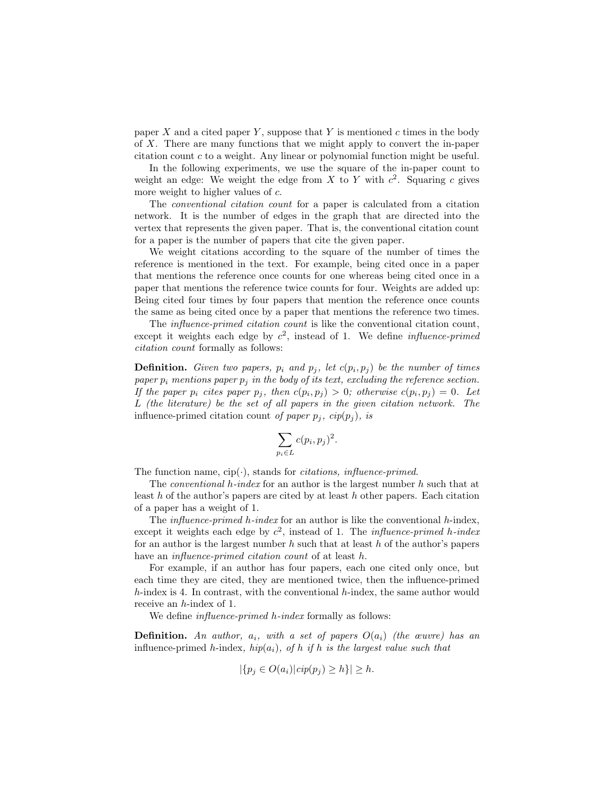paper X and a cited paper Y, suppose that Y is mentioned  $c$  times in the body of X. There are many functions that we might apply to convert the in-paper citation count  $c$  to a weight. Any linear or polynomial function might be useful.

In the following experiments, we use the square of the in-paper count to weight an edge: We weight the edge from X to Y with  $c^2$ . Squaring c gives more weight to higher values of c.

The conventional citation count for a paper is calculated from a citation network. It is the number of edges in the graph that are directed into the vertex that represents the given paper. That is, the conventional citation count for a paper is the number of papers that cite the given paper.

We weight citations according to the square of the number of times the reference is mentioned in the text. For example, being cited once in a paper that mentions the reference once counts for one whereas being cited once in a paper that mentions the reference twice counts for four. Weights are added up: Being cited four times by four papers that mention the reference once counts the same as being cited once by a paper that mentions the reference two times.

The influence-primed citation count is like the conventional citation count, except it weights each edge by  $c^2$ , instead of 1. We define *influence-primed* citation count formally as follows:

**Definition.** Given two papers,  $p_i$  and  $p_j$ , let  $c(p_i, p_j)$  be the number of times paper  $p_i$  mentions paper  $p_j$  in the body of its text, excluding the reference section. If the paper  $p_i$  cites paper  $p_j$ , then  $c(p_i, p_j) > 0$ ; otherwise  $c(p_i, p_j) = 0$ . Let L (the literature) be the set of all papers in the given citation network. The influence-primed citation count of paper  $p_i$ ,  $\text{cip}(p_i)$ , is

$$
\sum_{p_i \in L} c(p_i, p_j)^2.
$$

The function name,  $\text{cip}(\cdot)$ , stands for *citations*, *influence-primed*.

The *conventional* h-index for an author is the largest number h such that at least  $h$  of the author's papers are cited by at least  $h$  other papers. Each citation of a paper has a weight of 1.

The *influence-primed h-index* for an author is like the conventional h-index, except it weights each edge by  $c^2$ , instead of 1. The *influence-primed h-index* for an author is the largest number  $h$  such that at least  $h$  of the author's papers have an *influence-primed citation count* of at least h.

For example, if an author has four papers, each one cited only once, but each time they are cited, they are mentioned twice, then the influence-primed h-index is 4. In contrast, with the conventional h-index, the same author would receive an h-index of 1.

We define *influence-primed h-index* formally as follows:

**Definition.** An author,  $a_i$ , with a set of papers  $O(a_i)$  (the œuvre) has an influence-primed h-index,  $hip(a_i)$ , of h if h is the largest value such that

$$
|\{p_j \in O(a_i) | \operatorname{clip}(p_j) \ge h\}| \ge h.
$$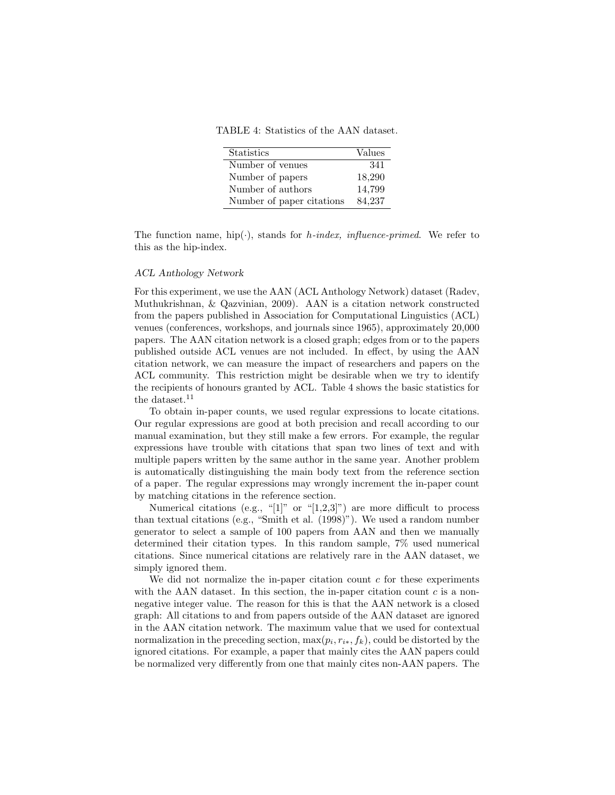TABLE 4: Statistics of the AAN dataset.

| <b>Statistics</b>         | Values |
|---------------------------|--------|
| Number of venues          | 341    |
| Number of papers          | 18,290 |
| Number of authors         | 14,799 |
| Number of paper citations | 84.237 |

The function name, hip(.), stands for *h*-index, influence-primed. We refer to this as the hip-index.

### ACL Anthology Network

For this experiment, we use the AAN (ACL Anthology Network) dataset (Radev, Muthukrishnan, & Qazvinian, 2009). AAN is a citation network constructed from the papers published in Association for Computational Linguistics (ACL) venues (conferences, workshops, and journals since 1965), approximately 20,000 papers. The AAN citation network is a closed graph; edges from or to the papers published outside ACL venues are not included. In effect, by using the AAN citation network, we can measure the impact of researchers and papers on the ACL community. This restriction might be desirable when we try to identify the recipients of honours granted by ACL. Table 4 shows the basic statistics for the dataset. $11$ 

To obtain in-paper counts, we used regular expressions to locate citations. Our regular expressions are good at both precision and recall according to our manual examination, but they still make a few errors. For example, the regular expressions have trouble with citations that span two lines of text and with multiple papers written by the same author in the same year. Another problem is automatically distinguishing the main body text from the reference section of a paper. The regular expressions may wrongly increment the in-paper count by matching citations in the reference section.

Numerical citations (e.g., "[1]" or "[1,2,3]") are more difficult to process than textual citations (e.g., "Smith et al. (1998)"). We used a random number generator to select a sample of 100 papers from AAN and then we manually determined their citation types. In this random sample, 7% used numerical citations. Since numerical citations are relatively rare in the AAN dataset, we simply ignored them.

We did not normalize the in-paper citation count  $c$  for these experiments with the AAN dataset. In this section, the in-paper citation count  $c$  is a nonnegative integer value. The reason for this is that the AAN network is a closed graph: All citations to and from papers outside of the AAN dataset are ignored in the AAN citation network. The maximum value that we used for contextual normalization in the preceding section,  $\max(p_i, r_{i*}, f_k)$ , could be distorted by the ignored citations. For example, a paper that mainly cites the AAN papers could be normalized very differently from one that mainly cites non-AAN papers. The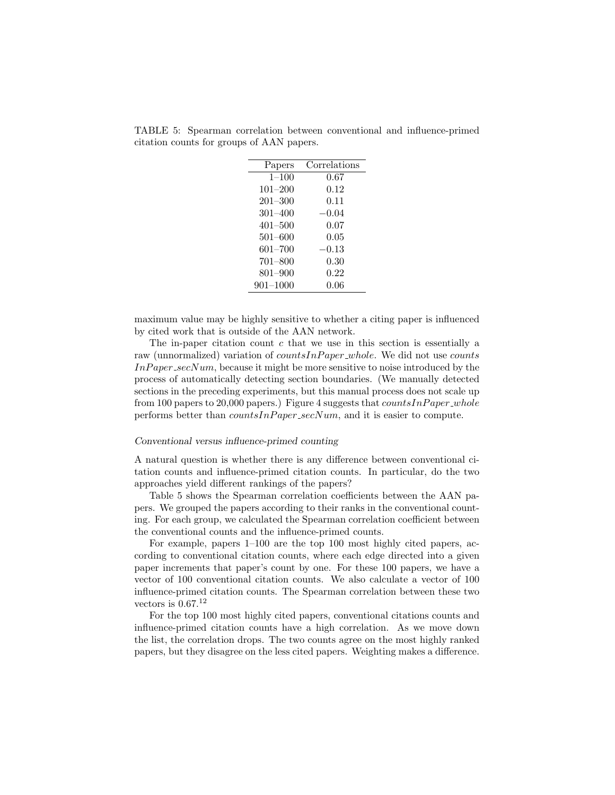| Papers       | Correlations |
|--------------|--------------|
| $1 - 100$    | 0.67         |
| $101 - 200$  | $0.12\,$     |
| $201 - 300$  | 0.11         |
| $301 - 400$  | $-0.04$      |
| $401 - 500$  | 0.07         |
| $501 - 600$  | 0.05         |
| 601–700      | 0.13         |
| $701 - 800$  | 0.30         |
| 801-900      | $0.22\,$     |
| $901 - 1000$ | 0.06         |

TABLE 5: Spearman correlation between conventional and influence-primed citation counts for groups of AAN papers.

maximum value may be highly sensitive to whether a citing paper is influenced by cited work that is outside of the AAN network.

The in-paper citation count  $c$  that we use in this section is essentially a raw (unnormalized) variation of  $countsInPaper \textit{whole}$ . We did not use counts In Paper\_secNum, because it might be more sensitive to noise introduced by the process of automatically detecting section boundaries. (We manually detected sections in the preceding experiments, but this manual process does not scale up from 100 papers to 20,000 papers.) Figure 4 suggests that  $countsInPaper. whole$ performs better than  $countsInPaper.secNum$ , and it is easier to compute.

### Conventional versus influence-primed counting

A natural question is whether there is any difference between conventional citation counts and influence-primed citation counts. In particular, do the two approaches yield different rankings of the papers?

Table 5 shows the Spearman correlation coefficients between the AAN papers. We grouped the papers according to their ranks in the conventional counting. For each group, we calculated the Spearman correlation coefficient between the conventional counts and the influence-primed counts.

For example, papers 1–100 are the top 100 most highly cited papers, according to conventional citation counts, where each edge directed into a given paper increments that paper's count by one. For these 100 papers, we have a vector of 100 conventional citation counts. We also calculate a vector of 100 influence-primed citation counts. The Spearman correlation between these two vectors is  $0.67^{12}$ 

For the top 100 most highly cited papers, conventional citations counts and influence-primed citation counts have a high correlation. As we move down the list, the correlation drops. The two counts agree on the most highly ranked papers, but they disagree on the less cited papers. Weighting makes a difference.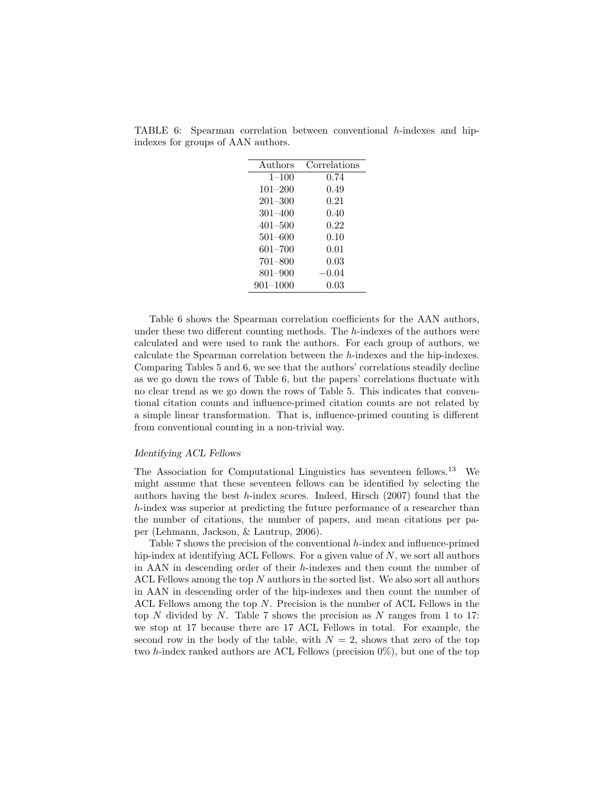| Authors      | Correlations |
|--------------|--------------|
| $1 - 100$    | 0.74         |
| $101 - 200$  | 0.49         |
| $201 - 300$  | 0.21         |
| $301 - 400$  | 0.40         |
| 401–500      | $0.22\,$     |
| $501 - 600$  | 0.10         |
| 601–700      | 0.01         |
| $701 - 800$  | 0.03         |
| 801-900      | 0.04         |
| $901 - 1000$ | 0.03         |

TABLE 6: Spearman correlation between conventional h-indexes and hipindexes for groups of AAN authors.

Table 6 shows the Spearman correlation coefficients for the AAN authors, under these two different counting methods. The h-indexes of the authors were calculated and were used to rank the authors. For each group of authors, we calculate the Spearman correlation between the h-indexes and the hip-indexes. Comparing Tables 5 and 6, we see that the authors' correlations steadily decline as we go down the rows of Table 6, but the papers' correlations fluctuate with no clear trend as we go down the rows of Table 5. This indicates that conventional citation counts and influence-primed citation counts are not related by a simple linear transformation. That is, influence-primed counting is different from conventional counting in a non-trivial way.

### Identifying ACL Fellows

The Association for Computational Linguistics has seventeen fellows.<sup>13</sup> We might assume that these seventeen fellows can be identified by selecting the authors having the best  $h$ -index scores. Indeed, Hirsch (2007) found that the h-index was superior at predicting the future performance of a researcher than the number of citations, the number of papers, and mean citations per paper (Lehmann, Jackson, & Lautrup, 2006).

Table 7 shows the precision of the conventional h-index and influence-primed hip-index at identifying ACL Fellows. For a given value of N, we sort all authors in AAN in descending order of their h-indexes and then count the number of ACL Fellows among the top N authors in the sorted list. We also sort all authors in AAN in descending order of the hip-indexes and then count the number of ACL Fellows among the top N. Precision is the number of ACL Fellows in the top  $N$  divided by  $N$ . Table 7 shows the precision as  $N$  ranges from 1 to 17: we stop at 17 because there are 17 ACL Fellows in total. For example, the second row in the body of the table, with  $N = 2$ , shows that zero of the top two h-index ranked authors are ACL Fellows (precision  $0\%$ ), but one of the top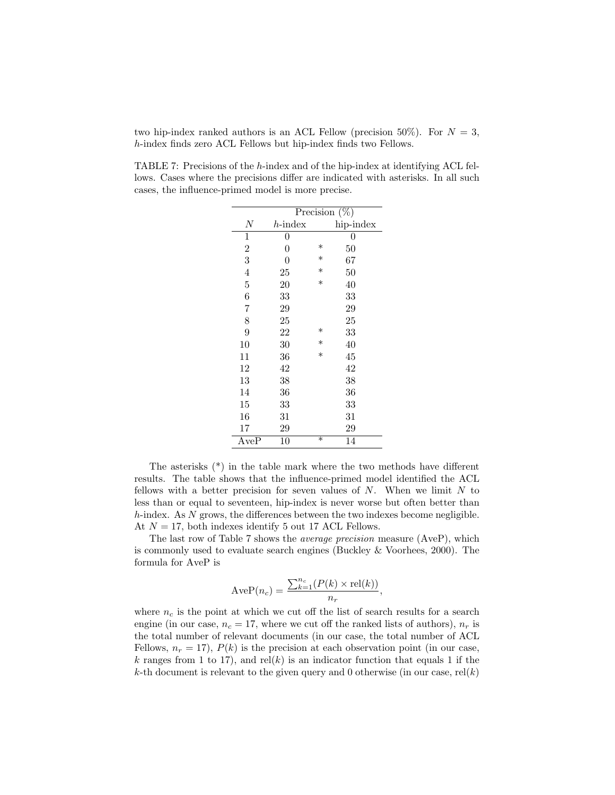two hip-index ranked authors is an ACL Fellow (precision 50%). For  $N = 3$ , h-index finds zero ACL Fellows but hip-index finds two Fellows.

TABLE 7: Precisions of the h-index and of the hip-index at identifying ACL fellows. Cases where the precisions differ are indicated with asterisks. In all such cases, the influence-primed model is more precise.

|                | Precision $(\%)$ |        |           |
|----------------|------------------|--------|-----------|
|                |                  |        |           |
| $\overline{N}$ | $h$ -index       |        | hip-index |
| $\mathbf{1}$   | 0                |        | 0         |
| $\overline{2}$ | 0                | $\ast$ | 50        |
| 3              | $\overline{0}$   | $\ast$ | 67        |
| 4              | 25               | $\ast$ | 50        |
| 5              | 20               | $\ast$ | 40        |
| 6              | 33               |        | 33        |
| 7              | 29               |        | 29        |
| 8              | 25               |        | 25        |
| 9              | 22               | $\ast$ | 33        |
| 10             | 30               | $\ast$ | 40        |
| 11             | 36               | $\ast$ | 45        |
| 12             | 42               |        | 42        |
| 13             | 38               |        | 38        |
| 14             | 36               |        | 36        |
| 15             | 33               |        | 33        |
| 16             | 31               |        | $31\,$    |
| 17             | 29               |        | 29        |
| AveP           | 10               | $\ast$ | 14        |
|                |                  |        |           |

The asterisks (\*) in the table mark where the two methods have different results. The table shows that the influence-primed model identified the ACL fellows with a better precision for seven values of  $N$ . When we limit  $N$  to less than or equal to seventeen, hip-index is never worse but often better than  $h$ -index. As N grows, the differences between the two indexes become negligible. At  $N = 17$ , both indexes identify 5 out 17 ACL Fellows.

The last row of Table 7 shows the average precision measure (AveP), which is commonly used to evaluate search engines (Buckley & Voorhees, 2000). The formula for AveP is

$$
AveP(n_c) = \frac{\sum_{k=1}^{n_c} (P(k) \times rel(k))}{n_r},
$$

where  $n_c$  is the point at which we cut off the list of search results for a search engine (in our case,  $n_c = 17$ , where we cut off the ranked lists of authors),  $n_r$  is the total number of relevant documents (in our case, the total number of ACL Fellows,  $n_r = 17$ ,  $P(k)$  is the precision at each observation point (in our case, k ranges from 1 to 17), and rel(k) is an indicator function that equals 1 if the k-th document is relevant to the given query and 0 otherwise (in our case, rel(k)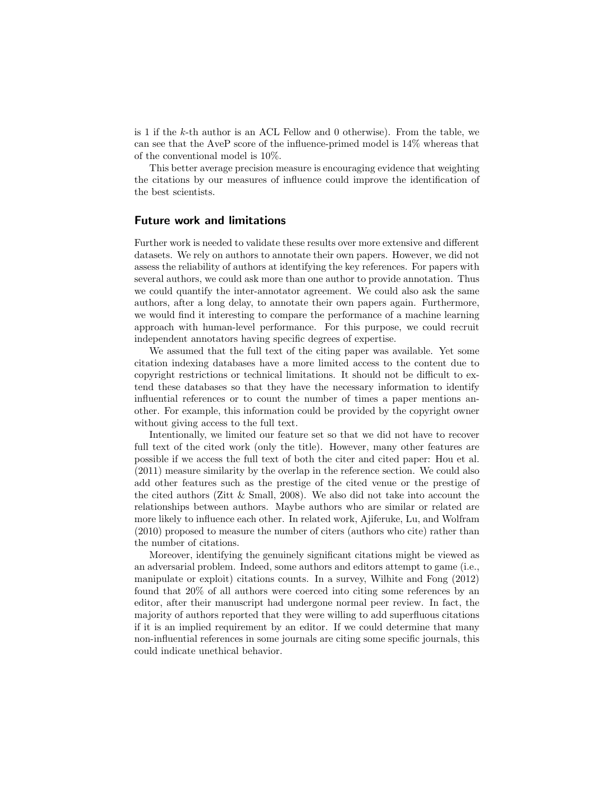is 1 if the  $k$ -th author is an ACL Fellow and 0 otherwise). From the table, we can see that the AveP score of the influence-primed model is 14% whereas that of the conventional model is 10%.

This better average precision measure is encouraging evidence that weighting the citations by our measures of influence could improve the identification of the best scientists.

# Future work and limitations

Further work is needed to validate these results over more extensive and different datasets. We rely on authors to annotate their own papers. However, we did not assess the reliability of authors at identifying the key references. For papers with several authors, we could ask more than one author to provide annotation. Thus we could quantify the inter-annotator agreement. We could also ask the same authors, after a long delay, to annotate their own papers again. Furthermore, we would find it interesting to compare the performance of a machine learning approach with human-level performance. For this purpose, we could recruit independent annotators having specific degrees of expertise.

We assumed that the full text of the citing paper was available. Yet some citation indexing databases have a more limited access to the content due to copyright restrictions or technical limitations. It should not be difficult to extend these databases so that they have the necessary information to identify influential references or to count the number of times a paper mentions another. For example, this information could be provided by the copyright owner without giving access to the full text.

Intentionally, we limited our feature set so that we did not have to recover full text of the cited work (only the title). However, many other features are possible if we access the full text of both the citer and cited paper: Hou et al. (2011) measure similarity by the overlap in the reference section. We could also add other features such as the prestige of the cited venue or the prestige of the cited authors (Zitt & Small, 2008). We also did not take into account the relationships between authors. Maybe authors who are similar or related are more likely to influence each other. In related work, Ajiferuke, Lu, and Wolfram (2010) proposed to measure the number of citers (authors who cite) rather than the number of citations.

Moreover, identifying the genuinely significant citations might be viewed as an adversarial problem. Indeed, some authors and editors attempt to game (i.e., manipulate or exploit) citations counts. In a survey, Wilhite and Fong (2012) found that 20% of all authors were coerced into citing some references by an editor, after their manuscript had undergone normal peer review. In fact, the majority of authors reported that they were willing to add superfluous citations if it is an implied requirement by an editor. If we could determine that many non-influential references in some journals are citing some specific journals, this could indicate unethical behavior.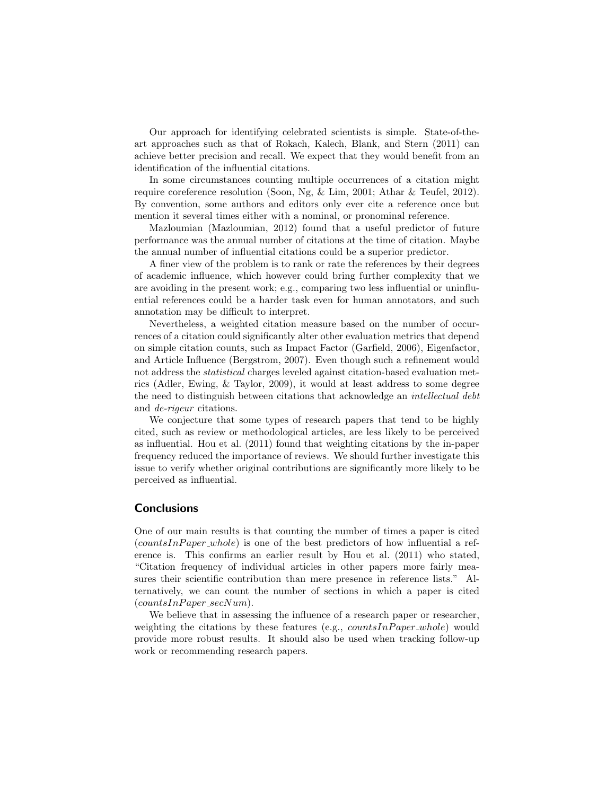Our approach for identifying celebrated scientists is simple. State-of-theart approaches such as that of Rokach, Kalech, Blank, and Stern (2011) can achieve better precision and recall. We expect that they would benefit from an identification of the influential citations.

In some circumstances counting multiple occurrences of a citation might require coreference resolution (Soon, Ng, & Lim, 2001; Athar & Teufel, 2012). By convention, some authors and editors only ever cite a reference once but mention it several times either with a nominal, or pronominal reference.

Mazloumian (Mazloumian, 2012) found that a useful predictor of future performance was the annual number of citations at the time of citation. Maybe the annual number of influential citations could be a superior predictor.

A finer view of the problem is to rank or rate the references by their degrees of academic influence, which however could bring further complexity that we are avoiding in the present work; e.g., comparing two less influential or uninfluential references could be a harder task even for human annotators, and such annotation may be difficult to interpret.

Nevertheless, a weighted citation measure based on the number of occurrences of a citation could significantly alter other evaluation metrics that depend on simple citation counts, such as Impact Factor (Garfield, 2006), Eigenfactor, and Article Influence (Bergstrom, 2007). Even though such a refinement would not address the statistical charges leveled against citation-based evaluation metrics (Adler, Ewing, & Taylor, 2009), it would at least address to some degree the need to distinguish between citations that acknowledge an intellectual debt and de-rigeur citations.

We conjecture that some types of research papers that tend to be highly cited, such as review or methodological articles, are less likely to be perceived as influential. Hou et al. (2011) found that weighting citations by the in-paper frequency reduced the importance of reviews. We should further investigate this issue to verify whether original contributions are significantly more likely to be perceived as influential.

# **Conclusions**

One of our main results is that counting the number of times a paper is cited (countsInPaper\_whole) is one of the best predictors of how influential a reference is. This confirms an earlier result by Hou et al. (2011) who stated, "Citation frequency of individual articles in other papers more fairly measures their scientific contribution than mere presence in reference lists." Alternatively, we can count the number of sections in which a paper is cited  $(countsInPaper \_secNum).$ 

We believe that in assessing the influence of a research paper or researcher, weighting the citations by these features (e.g.,  $countsInPaper\_whole)$  would provide more robust results. It should also be used when tracking follow-up work or recommending research papers.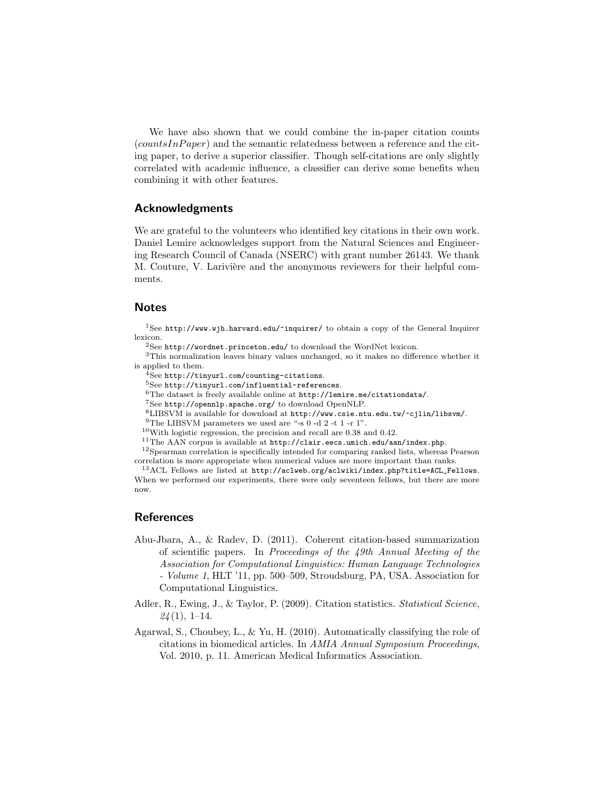We have also shown that we could combine the in-paper citation counts  $(countsInPaper)$  and the semantic relatedness between a reference and the citing paper, to derive a superior classifier. Though self-citations are only slightly correlated with academic influence, a classifier can derive some benefits when combining it with other features.

# Acknowledgments

We are grateful to the volunteers who identified key citations in their own work. Daniel Lemire acknowledges support from the Natural Sciences and Engineering Research Council of Canada (NSERC) with grant number 26143. We thank M. Couture, V. Larivière and the anonymous reviewers for their helpful comments.

### Notes

<sup>1</sup>See http://www.wjh.harvard.edu/~inquirer/ to obtain a copy of the General Inquirer lexicon.

 $^{2}$ See http://wordnet.princeton.edu/ to download the WordNet lexicon.

<sup>3</sup>This normalization leaves binary values unchanged, so it makes no difference whether it is applied to them.

 ${}^{4}$ See http://tinyurl.com/counting-citations.

 ${\rm ^5See}$ http://tinyurl.com/influential-references.

 $6$ The dataset is freely available online at  ${\tt http://lemire.me/citationdata/.}$ 

<sup>7</sup>See http://opennlp.apache.org/ to download OpenNLP.

<sup>8</sup>LIBSVM is available for download at http://www.csie.ntu.edu.tw/~cjlin/libsvm/.

<sup>9</sup>The LIBSVM parameters we used are "-s  $0$  -d  $2$  -t  $1$  -r  $1$ ".

<sup>10</sup>With logistic regression, the precision and recall are 0.38 and 0.42.

 $^{11}{\rm The~AAN}$  corpus is available at  ${\tt http://clair.eecs.umich.edu/aan/index.php.}$ 

<sup>12</sup>Spearman correlation is specifically intended for comparing ranked lists, whereas Pearson correlation is more appropriate when numerical values are more important than ranks.

<sup>13</sup>ACL Fellows are listed at http://aclweb.org/aclwiki/index.php?title=ACL\_Fellows. When we performed our experiments, there were only seventeen fellows, but there are more now.

# References

- Abu-Jbara, A., & Radev, D. (2011). Coherent citation-based summarization of scientific papers. In Proceedings of the 49th Annual Meeting of the Association for Computational Linguistics: Human Language Technologies - Volume 1, HLT '11, pp. 500–509, Stroudsburg, PA, USA. Association for Computational Linguistics.
- Adler, R., Ewing, J., & Taylor, P. (2009). Citation statistics. Statistical Science,  $24(1), 1-14.$
- Agarwal, S., Choubey, L., & Yu, H. (2010). Automatically classifying the role of citations in biomedical articles. In AMIA Annual Symposium Proceedings, Vol. 2010, p. 11. American Medical Informatics Association.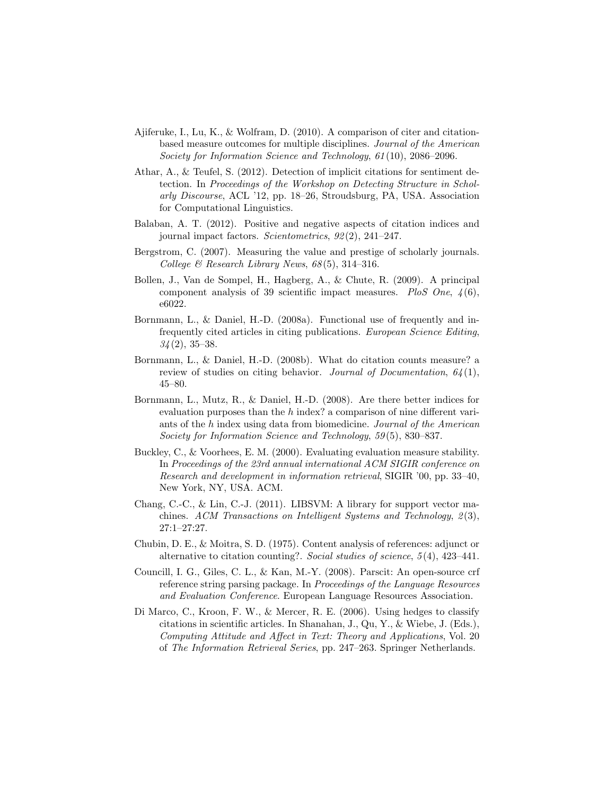- Ajiferuke, I., Lu, K., & Wolfram, D. (2010). A comparison of citer and citationbased measure outcomes for multiple disciplines. Journal of the American Society for Information Science and Technology, 61 (10), 2086–2096.
- Athar, A., & Teufel, S. (2012). Detection of implicit citations for sentiment detection. In Proceedings of the Workshop on Detecting Structure in Scholarly Discourse, ACL '12, pp. 18–26, Stroudsburg, PA, USA. Association for Computational Linguistics.
- Balaban, A. T. (2012). Positive and negative aspects of citation indices and journal impact factors. Scientometrics, 92 (2), 241–247.
- Bergstrom, C. (2007). Measuring the value and prestige of scholarly journals. College & Research Library News,  $68(5)$ , 314-316.
- Bollen, J., Van de Sompel, H., Hagberg, A., & Chute, R. (2009). A principal component analysis of 39 scientific impact measures. PloS One,  $\frac{1}{6}$ , e6022.
- Bornmann, L., & Daniel, H.-D. (2008a). Functional use of frequently and infrequently cited articles in citing publications. European Science Editing,  $34(2), 35-38.$
- Bornmann, L., & Daniel, H.-D. (2008b). What do citation counts measure? a review of studies on citing behavior. Journal of Documentation,  $64(1)$ , 45–80.
- Bornmann, L., Mutz, R., & Daniel, H.-D. (2008). Are there better indices for evaluation purposes than the  $h$  index? a comparison of nine different variants of the h index using data from biomedicine. Journal of the American Society for Information Science and Technology, 59 (5), 830–837.
- Buckley, C., & Voorhees, E. M. (2000). Evaluating evaluation measure stability. In Proceedings of the 23rd annual international ACM SIGIR conference on Research and development in information retrieval, SIGIR '00, pp. 33–40, New York, NY, USA. ACM.
- Chang, C.-C., & Lin, C.-J. (2011). LIBSVM: A library for support vector machines. ACM Transactions on Intelligent Systems and Technology,  $2(3)$ , 27:1–27:27.
- Chubin, D. E., & Moitra, S. D. (1975). Content analysis of references: adjunct or alternative to citation counting?. Social studies of science,  $5(4)$ ,  $423-441$ .
- Councill, I. G., Giles, C. L., & Kan, M.-Y. (2008). Parscit: An open-source crf reference string parsing package. In Proceedings of the Language Resources and Evaluation Conference. European Language Resources Association.
- Di Marco, C., Kroon, F. W., & Mercer, R. E. (2006). Using hedges to classify citations in scientific articles. In Shanahan, J., Qu, Y., & Wiebe, J. (Eds.), Computing Attitude and Affect in Text: Theory and Applications, Vol. 20 of The Information Retrieval Series, pp. 247–263. Springer Netherlands.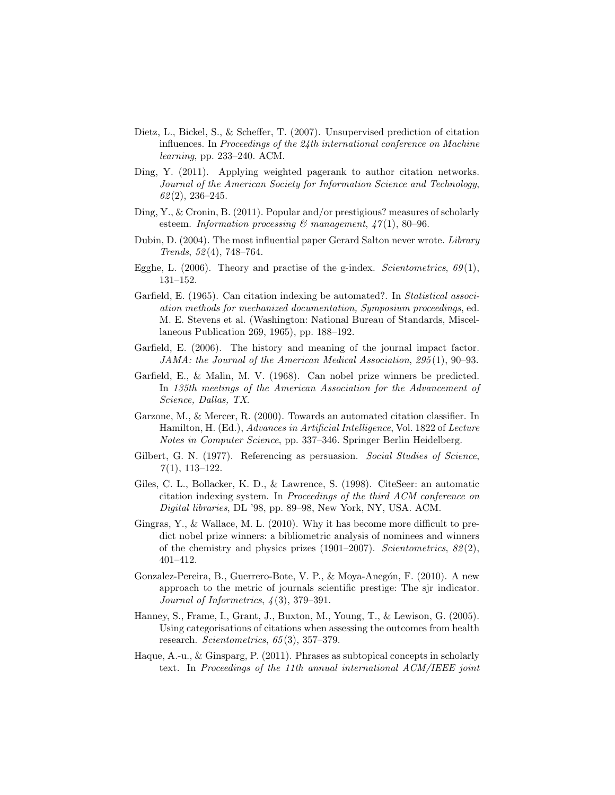- Dietz, L., Bickel, S., & Scheffer, T. (2007). Unsupervised prediction of citation influences. In Proceedings of the 24th international conference on Machine learning, pp. 233–240. ACM.
- Ding, Y. (2011). Applying weighted pagerank to author citation networks. Journal of the American Society for Information Science and Technology,  $62(2), 236-245.$
- Ding, Y., & Cronin, B. (2011). Popular and/or prestigious? measures of scholarly esteem. Information processing  $\mathcal C$  management,  $47(1)$ , 80–96.
- Dubin, D. (2004). The most influential paper Gerard Salton never wrote. Library Trends,  $52(4)$ , 748–764.
- Egghe, L. (2006). Theory and practise of the g-index. Scientometrics,  $69(1)$ , 131–152.
- Garfield, E. (1965). Can citation indexing be automated?. In *Statistical associ*ation methods for mechanized documentation, Symposium proceedings, ed. M. E. Stevens et al. (Washington: National Bureau of Standards, Miscellaneous Publication 269, 1965), pp. 188–192.
- Garfield, E. (2006). The history and meaning of the journal impact factor. JAMA: the Journal of the American Medical Association, 295 (1), 90–93.
- Garfield, E., & Malin, M. V. (1968). Can nobel prize winners be predicted. In 135th meetings of the American Association for the Advancement of Science, Dallas, TX.
- Garzone, M., & Mercer, R. (2000). Towards an automated citation classifier. In Hamilton, H. (Ed.), Advances in Artificial Intelligence, Vol. 1822 of Lecture Notes in Computer Science, pp. 337–346. Springer Berlin Heidelberg.
- Gilbert, G. N. (1977). Referencing as persuasion. Social Studies of Science,  $7(1), 113-122.$
- Giles, C. L., Bollacker, K. D., & Lawrence, S. (1998). CiteSeer: an automatic citation indexing system. In Proceedings of the third ACM conference on Digital libraries, DL '98, pp. 89–98, New York, NY, USA. ACM.
- Gingras, Y., & Wallace, M. L. (2010). Why it has become more difficult to predict nobel prize winners: a bibliometric analysis of nominees and winners of the chemistry and physics prizes (1901–2007). Scientometrics,  $82(2)$ , 401–412.
- Gonzalez-Pereira, B., Guerrero-Bote, V. P., & Moya-Anegón, F. (2010). A new approach to the metric of journals scientific prestige: The sjr indicator. Journal of Informetrics, 4 (3), 379–391.
- Hanney, S., Frame, I., Grant, J., Buxton, M., Young, T., & Lewison, G. (2005). Using categorisations of citations when assessing the outcomes from health research. Scientometrics, 65 (3), 357–379.
- Haque, A.-u., & Ginsparg, P. (2011). Phrases as subtopical concepts in scholarly text. In Proceedings of the 11th annual international ACM/IEEE joint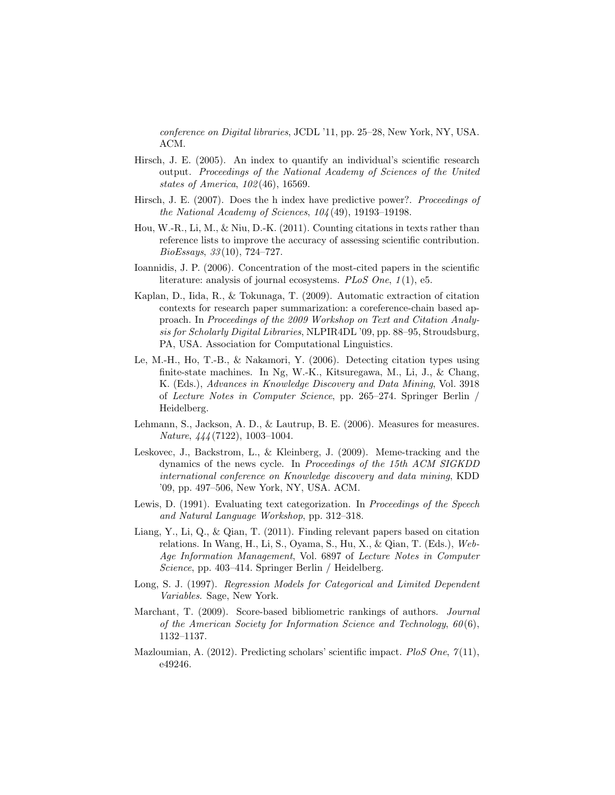conference on Digital libraries, JCDL '11, pp. 25–28, New York, NY, USA. ACM.

- Hirsch, J. E. (2005). An index to quantify an individual's scientific research output. Proceedings of the National Academy of Sciences of the United states of America, 102 (46), 16569.
- Hirsch, J. E. (2007). Does the h index have predictive power?. Proceedings of the National Academy of Sciences,  $104(49)$ , 19193–19198.
- Hou, W.-R., Li, M., & Niu, D.-K. (2011). Counting citations in texts rather than reference lists to improve the accuracy of assessing scientific contribution. BioEssays, 33 (10), 724–727.
- Ioannidis, J. P. (2006). Concentration of the most-cited papers in the scientific literature: analysis of journal ecosystems.  $PLoS$  One,  $1(1)$ , e5.
- Kaplan, D., Iida, R., & Tokunaga, T. (2009). Automatic extraction of citation contexts for research paper summarization: a coreference-chain based approach. In Proceedings of the 2009 Workshop on Text and Citation Analysis for Scholarly Digital Libraries, NLPIR4DL '09, pp. 88–95, Stroudsburg, PA, USA. Association for Computational Linguistics.
- Le, M.-H., Ho, T.-B., & Nakamori, Y. (2006). Detecting citation types using finite-state machines. In Ng, W.-K., Kitsuregawa, M., Li, J., & Chang, K. (Eds.), Advances in Knowledge Discovery and Data Mining, Vol. 3918 of Lecture Notes in Computer Science, pp. 265–274. Springer Berlin / Heidelberg.
- Lehmann, S., Jackson, A. D., & Lautrup, B. E. (2006). Measures for measures. Nature, 444 (7122), 1003–1004.
- Leskovec, J., Backstrom, L., & Kleinberg, J. (2009). Meme-tracking and the dynamics of the news cycle. In Proceedings of the 15th ACM SIGKDD international conference on Knowledge discovery and data mining, KDD '09, pp. 497–506, New York, NY, USA. ACM.
- Lewis, D. (1991). Evaluating text categorization. In Proceedings of the Speech and Natural Language Workshop, pp. 312–318.
- Liang, Y., Li, Q., & Qian, T. (2011). Finding relevant papers based on citation relations. In Wang, H., Li, S., Oyama, S., Hu, X., & Qian, T. (Eds.), Web-Age Information Management, Vol. 6897 of Lecture Notes in Computer Science, pp. 403–414. Springer Berlin / Heidelberg.
- Long, S. J. (1997). Regression Models for Categorical and Limited Dependent Variables. Sage, New York.
- Marchant, T. (2009). Score-based bibliometric rankings of authors. Journal of the American Society for Information Science and Technology,  $60(6)$ , 1132–1137.
- Mazloumian, A. (2012). Predicting scholars' scientific impact. PloS One, 7(11), e49246.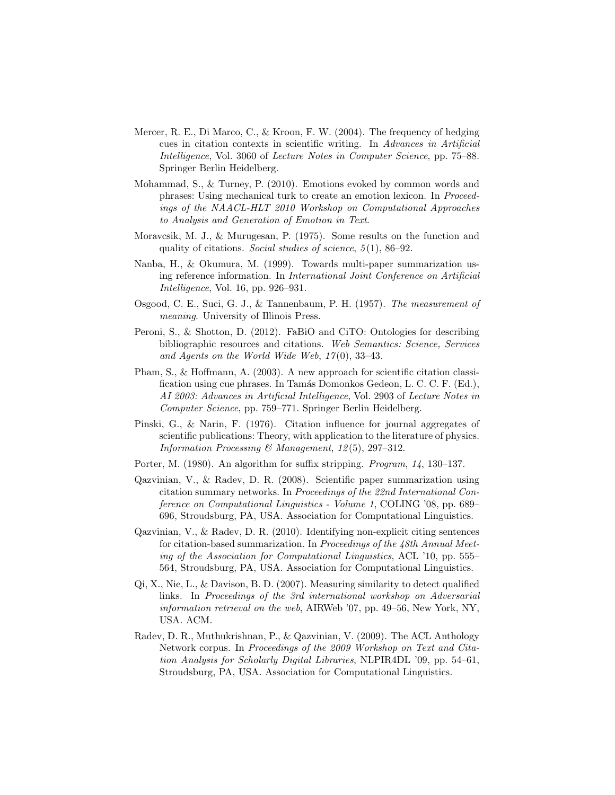- Mercer, R. E., Di Marco, C., & Kroon, F. W. (2004). The frequency of hedging cues in citation contexts in scientific writing. In Advances in Artificial Intelligence, Vol. 3060 of Lecture Notes in Computer Science, pp. 75–88. Springer Berlin Heidelberg.
- Mohammad, S., & Turney, P. (2010). Emotions evoked by common words and phrases: Using mechanical turk to create an emotion lexicon. In Proceedings of the NAACL-HLT 2010 Workshop on Computational Approaches to Analysis and Generation of Emotion in Text.
- Moravcsik, M. J., & Murugesan, P. (1975). Some results on the function and quality of citations. Social studies of science,  $5(1)$ , 86–92.
- Nanba, H., & Okumura, M. (1999). Towards multi-paper summarization using reference information. In International Joint Conference on Artificial Intelligence, Vol. 16, pp. 926–931.
- Osgood, C. E., Suci, G. J., & Tannenbaum, P. H. (1957). The measurement of meaning. University of Illinois Press.
- Peroni, S., & Shotton, D. (2012). FaBiO and CiTO: Ontologies for describing bibliographic resources and citations. Web Semantics: Science, Services and Agents on the World Wide Web,  $17(0)$ , 33-43.
- Pham, S., & Hoffmann, A. (2003). A new approach for scientific citation classification using cue phrases. In Tamás Domonkos Gedeon, L. C. C. F. (Ed.), AI 2003: Advances in Artificial Intelligence, Vol. 2903 of Lecture Notes in Computer Science, pp. 759–771. Springer Berlin Heidelberg.
- Pinski, G., & Narin, F. (1976). Citation influence for journal aggregates of scientific publications: Theory, with application to the literature of physics. Information Processing & Management,  $12(5)$ , 297-312.
- Porter, M. (1980). An algorithm for suffix stripping. Program, 14, 130–137.
- Qazvinian, V., & Radev, D. R. (2008). Scientific paper summarization using citation summary networks. In Proceedings of the 22nd International Conference on Computational Linguistics - Volume 1, COLING '08, pp. 689– 696, Stroudsburg, PA, USA. Association for Computational Linguistics.
- Qazvinian, V., & Radev, D. R. (2010). Identifying non-explicit citing sentences for citation-based summarization. In Proceedings of the 48th Annual Meeting of the Association for Computational Linguistics, ACL '10, pp. 555– 564, Stroudsburg, PA, USA. Association for Computational Linguistics.
- Qi, X., Nie, L., & Davison, B. D. (2007). Measuring similarity to detect qualified links. In Proceedings of the 3rd international workshop on Adversarial information retrieval on the web, AIRWeb '07, pp. 49–56, New York, NY, USA. ACM.
- Radev, D. R., Muthukrishnan, P., & Qazvinian, V. (2009). The ACL Anthology Network corpus. In Proceedings of the 2009 Workshop on Text and Citation Analysis for Scholarly Digital Libraries, NLPIR4DL '09, pp. 54–61, Stroudsburg, PA, USA. Association for Computational Linguistics.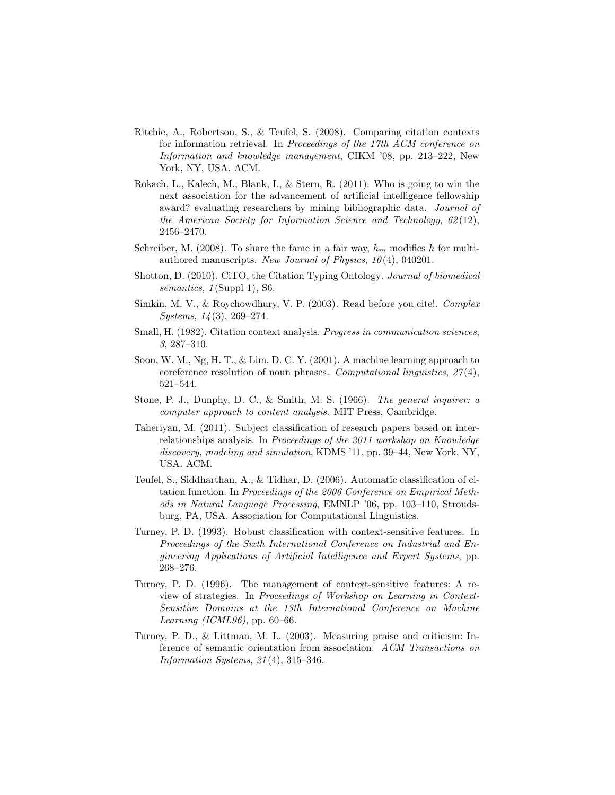- Ritchie, A., Robertson, S., & Teufel, S. (2008). Comparing citation contexts for information retrieval. In Proceedings of the 17th ACM conference on Information and knowledge management, CIKM '08, pp. 213–222, New York, NY, USA. ACM.
- Rokach, L., Kalech, M., Blank, I., & Stern, R. (2011). Who is going to win the next association for the advancement of artificial intelligence fellowship award? evaluating researchers by mining bibliographic data. Journal of the American Society for Information Science and Technology, 62 (12), 2456–2470.
- Schreiber, M. (2008). To share the fame in a fair way,  $h_m$  modifies h for multiauthored manuscripts. New Journal of Physics,  $10(4)$ , 040201.
- Shotton, D. (2010). CiTO, the Citation Typing Ontology. Journal of biomedical semantics,  $1$  (Suppl 1), S6.
- Simkin, M. V., & Roychowdhury, V. P. (2003). Read before you cite!. Complex Systems, 14(3), 269–274.
- Small, H. (1982). Citation context analysis. Progress in communication sciences, 3, 287–310.
- Soon, W. M., Ng, H. T., & Lim, D. C. Y. (2001). A machine learning approach to coreference resolution of noun phrases. Computational linguistics,  $27(4)$ , 521–544.
- Stone, P. J., Dunphy, D. C., & Smith, M. S. (1966). The general inquirer: a computer approach to content analysis. MIT Press, Cambridge.
- Taheriyan, M. (2011). Subject classification of research papers based on interrelationships analysis. In Proceedings of the 2011 workshop on Knowledge discovery, modeling and simulation, KDMS '11, pp. 39–44, New York, NY, USA. ACM.
- Teufel, S., Siddharthan, A., & Tidhar, D. (2006). Automatic classification of citation function. In Proceedings of the 2006 Conference on Empirical Methods in Natural Language Processing, EMNLP '06, pp. 103–110, Stroudsburg, PA, USA. Association for Computational Linguistics.
- Turney, P. D. (1993). Robust classification with context-sensitive features. In Proceedings of the Sixth International Conference on Industrial and Engineering Applications of Artificial Intelligence and Expert Systems, pp. 268–276.
- Turney, P. D. (1996). The management of context-sensitive features: A review of strategies. In Proceedings of Workshop on Learning in Context-Sensitive Domains at the 13th International Conference on Machine Learning (ICML96), pp. 60–66.
- Turney, P. D., & Littman, M. L. (2003). Measuring praise and criticism: Inference of semantic orientation from association. ACM Transactions on Information Systems,  $21(4)$ ,  $315-346$ .